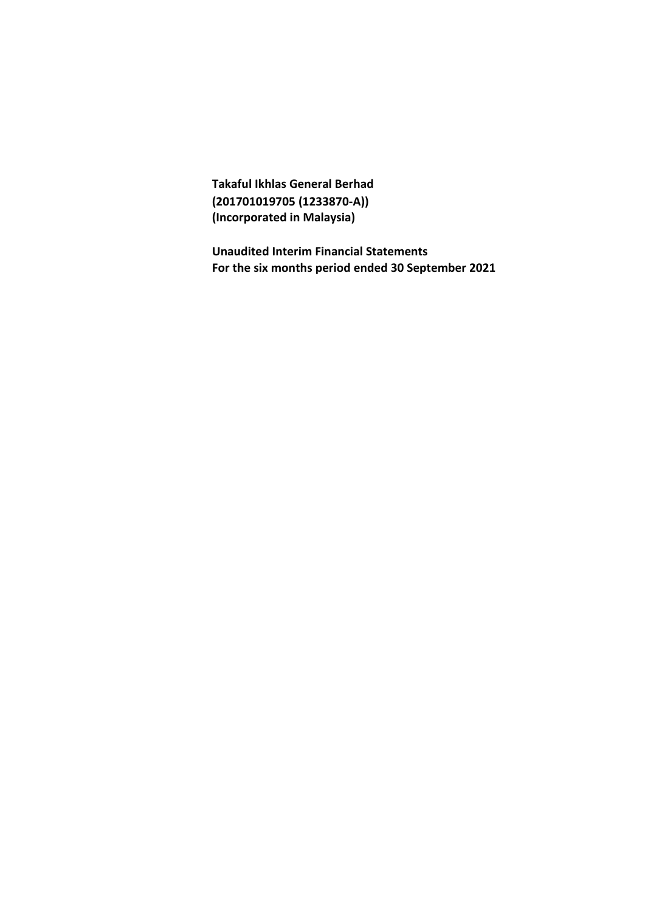**Takaful Ikhlas General Berhad (201701019705 (1233870-A)) (Incorporated in Malaysia)**

**Unaudited Interim Financial Statements For the six months period ended 30 September 2021**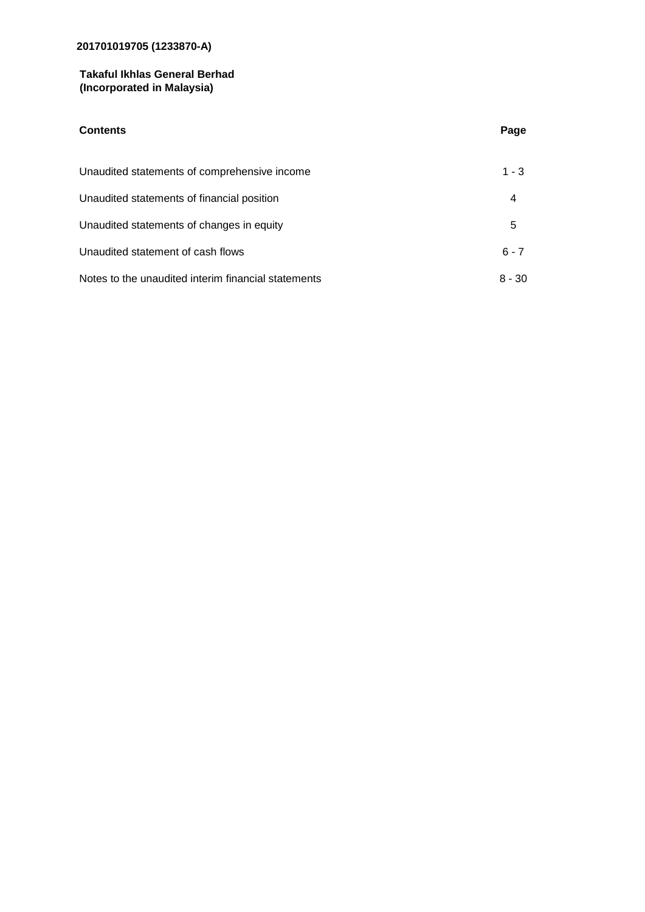# **Takaful Ikhlas General Berhad (Incorporated in Malaysia)**

| <b>Contents</b>                                     | Page     |
|-----------------------------------------------------|----------|
| Unaudited statements of comprehensive income        | $1 - 3$  |
| Unaudited statements of financial position          | 4        |
| Unaudited statements of changes in equity           | 5        |
| Unaudited statement of cash flows                   | $6 - 7$  |
| Notes to the unaudited interim financial statements | $8 - 30$ |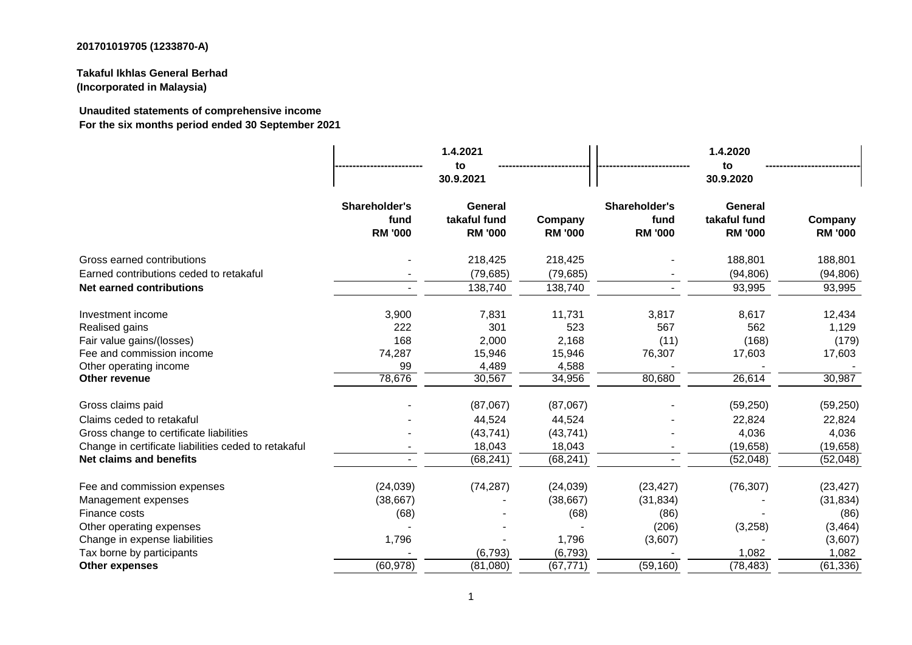# **Takaful Ikhlas General Berhad (Incorporated in Malaysia)**

**Unaudited statements of comprehensive income For the six months period ended 30 September 2021**

|                                                      |                                         | 1.4.2021<br>to<br>30.9.2021               |                           |                                         | 1.4.2020<br>to<br>30.9.2020               |                           |  |
|------------------------------------------------------|-----------------------------------------|-------------------------------------------|---------------------------|-----------------------------------------|-------------------------------------------|---------------------------|--|
|                                                      | Shareholder's<br>fund<br><b>RM '000</b> | General<br>takaful fund<br><b>RM '000</b> | Company<br><b>RM '000</b> | Shareholder's<br>fund<br><b>RM '000</b> | General<br>takaful fund<br><b>RM '000</b> | Company<br><b>RM '000</b> |  |
| Gross earned contributions                           |                                         | 218,425                                   | 218,425                   |                                         | 188,801                                   | 188,801                   |  |
| Earned contributions ceded to retakaful              |                                         | (79, 685)                                 | (79, 685)                 |                                         | (94, 806)                                 | (94, 806)                 |  |
| <b>Net earned contributions</b>                      |                                         | 138,740                                   | 138,740                   | $\overline{\phantom{0}}$                | 93,995                                    | 93,995                    |  |
| Investment income                                    | 3,900                                   | 7,831                                     | 11,731                    | 3,817                                   | 8,617                                     | 12,434                    |  |
| Realised gains                                       | 222                                     | 301                                       | 523                       | 567                                     | 562                                       | 1,129                     |  |
| Fair value gains/(losses)                            | 168                                     | 2,000                                     | 2,168                     | (11)                                    | (168)                                     | (179)                     |  |
| Fee and commission income                            | 74,287                                  | 15,946                                    | 15,946                    | 76,307                                  | 17,603                                    | 17,603                    |  |
| Other operating income                               | 99                                      | 4,489                                     | 4,588                     |                                         |                                           |                           |  |
| Other revenue                                        | 78,676                                  | 30,567                                    | 34,956                    | 80,680                                  | 26,614                                    | 30,987                    |  |
| Gross claims paid                                    |                                         | (87,067)                                  | (87,067)                  |                                         | (59, 250)                                 | (59, 250)                 |  |
| Claims ceded to retakaful                            |                                         | 44,524                                    | 44,524                    |                                         | 22,824                                    | 22,824                    |  |
| Gross change to certificate liabilities              |                                         | (43, 741)                                 | (43, 741)                 |                                         | 4,036                                     | 4,036                     |  |
| Change in certificate liabilities ceded to retakaful |                                         | 18,043                                    | 18,043                    |                                         | (19, 658)                                 | (19, 658)                 |  |
| <b>Net claims and benefits</b>                       |                                         | (68, 241)                                 | (68, 241)                 |                                         | (52,048)                                  | (52,048)                  |  |
| Fee and commission expenses                          | (24, 039)                               | (74, 287)                                 | (24, 039)                 | (23, 427)                               | (76, 307)                                 | (23, 427)                 |  |
| Management expenses                                  | (38, 667)                               |                                           | (38, 667)                 | (31, 834)                               |                                           | (31, 834)                 |  |
| Finance costs                                        | (68)                                    |                                           | (68)                      | (86)                                    |                                           | (86)                      |  |
| Other operating expenses                             |                                         |                                           |                           | (206)                                   | (3,258)                                   | (3, 464)                  |  |
| Change in expense liabilities                        | 1,796                                   |                                           | 1,796                     | (3,607)                                 |                                           | (3,607)                   |  |
| Tax borne by participants                            |                                         | (6, 793)                                  | (6, 793)                  |                                         | 1,082                                     | 1,082                     |  |
| <b>Other expenses</b>                                | (60, 978)                               | (81,080)                                  | (67, 771)                 | (59, 160)                               | (78, 483)                                 | (61, 336)                 |  |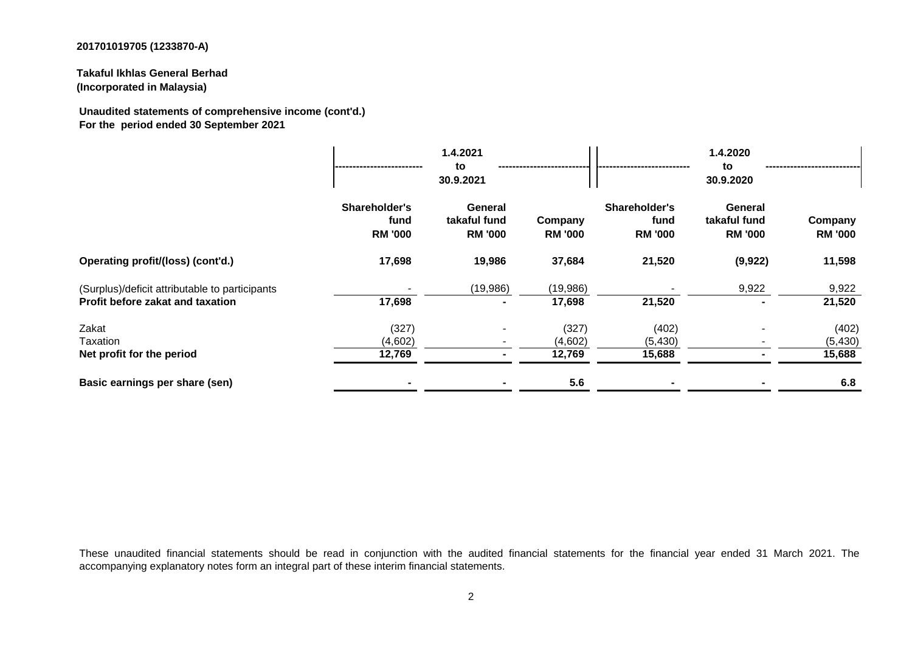**Takaful Ikhlas General Berhad (Incorporated in Malaysia)**

**Unaudited statements of comprehensive income (cont'd.) For the period ended 30 September 2021**

|                                                                                    |                                         | 1.4.2021<br>to<br>30.9.2021               |                            |                                         | 1.4.2020<br>to<br>30.9.2020                      | ---------------------       |
|------------------------------------------------------------------------------------|-----------------------------------------|-------------------------------------------|----------------------------|-----------------------------------------|--------------------------------------------------|-----------------------------|
|                                                                                    | Shareholder's<br>fund<br><b>RM '000</b> | General<br>takaful fund<br><b>RM '000</b> | Company<br><b>RM '000</b>  | Shareholder's<br>fund<br><b>RM '000</b> | <b>General</b><br>takaful fund<br><b>RM '000</b> | Company<br><b>RM '000</b>   |
| Operating profit/(loss) (cont'd.)                                                  | 17,698                                  | 19,986                                    | 37,684                     | 21,520                                  | (9,922)                                          | 11,598                      |
| (Surplus)/deficit attributable to participants<br>Profit before zakat and taxation | 17,698                                  | (19,986)                                  | (19,986)<br>17,698         | 21,520                                  | 9,922<br>۰                                       | 9,922<br>21,520             |
| Zakat<br>Taxation<br>Net profit for the period                                     | (327)<br>(4,602)<br>12,769              |                                           | (327)<br>(4,602)<br>12,769 | (402)<br>(5, 430)<br>15,688             |                                                  | (402)<br>(5, 430)<br>15,688 |
| Basic earnings per share (sen)                                                     |                                         |                                           | 5.6                        |                                         |                                                  | 6.8                         |

These unaudited financial statements should be read in conjunction with the audited financial statements for the financial year ended 31 March 2021. The accompanying explanatory notes form an integral part of these interim financial statements.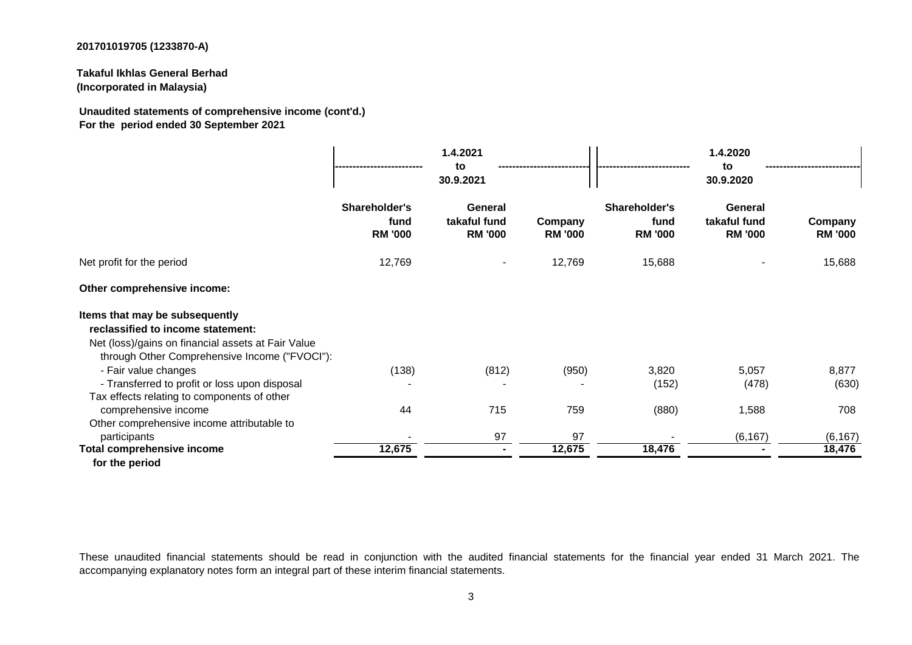**Takaful Ikhlas General Berhad (Incorporated in Malaysia)**

**Unaudited statements of comprehensive income (cont'd.) For the period ended 30 September 2021**

|                                                                                                                                                                            | Shareholder's          | General                        |                           |                                         |                                           |                           |
|----------------------------------------------------------------------------------------------------------------------------------------------------------------------------|------------------------|--------------------------------|---------------------------|-----------------------------------------|-------------------------------------------|---------------------------|
|                                                                                                                                                                            | fund<br><b>RM '000</b> | takaful fund<br><b>RM '000</b> | Company<br><b>RM '000</b> | Shareholder's<br>fund<br><b>RM '000</b> | General<br>takaful fund<br><b>RM '000</b> | Company<br><b>RM '000</b> |
| Net profit for the period                                                                                                                                                  | 12,769                 |                                | 12,769                    | 15,688                                  |                                           | 15,688                    |
| Other comprehensive income:                                                                                                                                                |                        |                                |                           |                                         |                                           |                           |
| Items that may be subsequently<br>reclassified to income statement:<br>Net (loss)/gains on financial assets at Fair Value<br>through Other Comprehensive Income ("FVOCI"): |                        |                                |                           |                                         |                                           |                           |
| - Fair value changes                                                                                                                                                       | (138)                  | (812)                          | (950)                     | 3,820                                   | 5,057                                     | 8,877                     |
| - Transferred to profit or loss upon disposal<br>Tax effects relating to components of other                                                                               |                        |                                |                           | (152)                                   | (478)                                     | (630)                     |
| comprehensive income                                                                                                                                                       | 44                     | 715                            | 759                       | (880)                                   | 1,588                                     | 708                       |
| Other comprehensive income attributable to                                                                                                                                 |                        |                                |                           |                                         |                                           |                           |
| participants                                                                                                                                                               |                        | 97                             | 97                        |                                         | (6, 167)                                  | (6, 167)                  |
| <b>Total comprehensive income</b><br>for the period                                                                                                                        | 12,675                 | $\sim$                         | 12,675                    | 18,476                                  | $\blacksquare$                            | 18,476                    |

These unaudited financial statements should be read in conjunction with the audited financial statements for the financial year ended 31 March 2021. The accompanying explanatory notes form an integral part of these interim financial statements.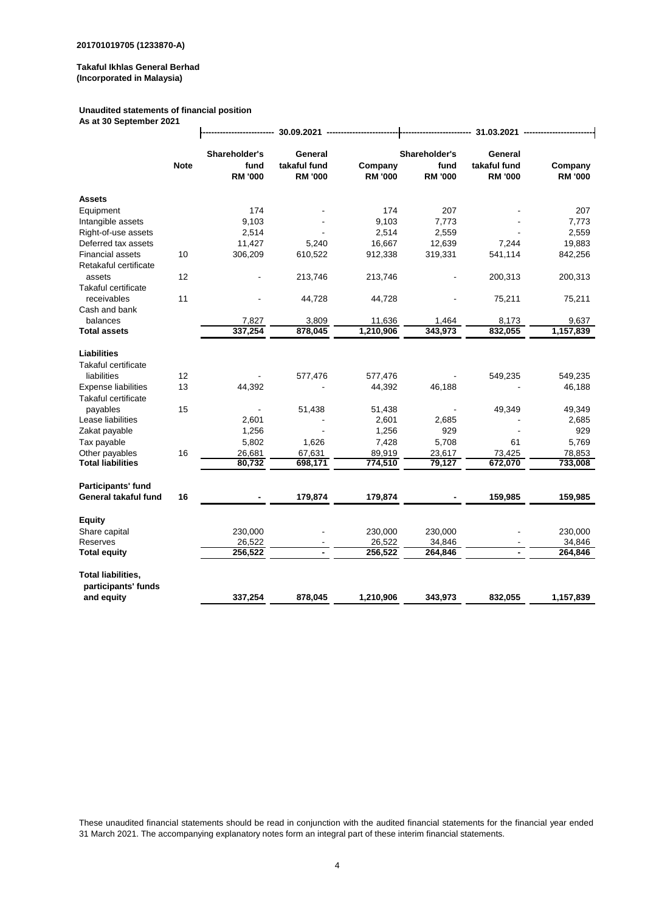#### **Unaudited statements of financial position**

 $\ddot{\phantom{a}}$ 

**As at 30 September 2021**

|                                                  |                                         | 30.09.2021                                |                           |                                         |                                           |                           |           | 31.03.2021 |  |  |  |
|--------------------------------------------------|-----------------------------------------|-------------------------------------------|---------------------------|-----------------------------------------|-------------------------------------------|---------------------------|-----------|------------|--|--|--|
| <b>Note</b>                                      | Shareholder's<br>fund<br><b>RM '000</b> | General<br>takaful fund<br><b>RM '000</b> | Company<br><b>RM '000</b> | Shareholder's<br>fund<br><b>RM '000</b> | General<br>takaful fund<br><b>RM '000</b> | Company<br><b>RM '000</b> |           |            |  |  |  |
| <b>Assets</b>                                    |                                         |                                           |                           |                                         |                                           |                           |           |            |  |  |  |
| Equipment                                        |                                         | 174                                       |                           | 174                                     | 207                                       |                           | 207       |            |  |  |  |
| Intangible assets                                |                                         | 9,103                                     |                           | 9,103                                   | 7,773                                     |                           | 7,773     |            |  |  |  |
| Right-of-use assets                              |                                         | 2,514                                     |                           | 2,514                                   | 2,559                                     |                           | 2,559     |            |  |  |  |
| Deferred tax assets                              |                                         | 11,427                                    | 5,240                     | 16,667                                  | 12,639                                    | 7,244                     | 19,883    |            |  |  |  |
| <b>Financial assets</b><br>Retakaful certificate | 10                                      | 306,209                                   | 610,522                   | 912,338                                 | 319,331                                   | 541,114                   | 842,256   |            |  |  |  |
| assets                                           | 12                                      |                                           | 213,746                   | 213,746                                 |                                           | 200,313                   | 200,313   |            |  |  |  |
| Takaful certificate                              |                                         |                                           |                           |                                         |                                           |                           |           |            |  |  |  |
| receivables                                      | 11                                      |                                           | 44,728                    | 44,728                                  |                                           | 75,211                    | 75,211    |            |  |  |  |
| Cash and bank                                    |                                         |                                           |                           |                                         |                                           |                           |           |            |  |  |  |
| balances                                         |                                         | 7,827                                     | 3,809                     | 11,636                                  | 1,464                                     | 8,173                     | 9,637     |            |  |  |  |
| <b>Total assets</b>                              |                                         | 337,254                                   | 878,045                   | 1,210,906                               | 343,973                                   | 832,055                   | 1,157,839 |            |  |  |  |
|                                                  |                                         |                                           |                           |                                         |                                           |                           |           |            |  |  |  |
| <b>Liabilities</b>                               |                                         |                                           |                           |                                         |                                           |                           |           |            |  |  |  |
| <b>Takaful certificate</b>                       |                                         |                                           |                           |                                         |                                           |                           |           |            |  |  |  |
| liabilities                                      | 12                                      |                                           | 577,476                   | 577,476                                 |                                           | 549,235                   | 549,235   |            |  |  |  |
| <b>Expense liabilities</b>                       | 13                                      | 44,392                                    |                           | 44,392                                  | 46,188                                    |                           | 46,188    |            |  |  |  |
| Takaful certificate                              |                                         |                                           |                           |                                         |                                           |                           |           |            |  |  |  |
| payables                                         | 15                                      |                                           | 51,438                    | 51,438                                  |                                           | 49,349                    | 49,349    |            |  |  |  |
| Lease liabilities                                |                                         | 2,601                                     |                           | 2,601                                   | 2,685                                     |                           | 2,685     |            |  |  |  |
| Zakat payable                                    |                                         | 1,256                                     |                           | 1,256                                   | 929                                       |                           | 929       |            |  |  |  |
| Tax payable                                      |                                         | 5,802                                     | 1,626                     | 7,428                                   | 5,708                                     | 61                        | 5,769     |            |  |  |  |
| Other payables                                   | 16                                      | 26,681                                    | 67,631                    | 89,919                                  | 23,617                                    | 73,425                    | 78,853    |            |  |  |  |
| <b>Total liabilities</b>                         |                                         | 80,732                                    | 698,171                   | 774,510                                 | 79,127                                    | 672,070                   | 733,008   |            |  |  |  |
| Participants' fund                               |                                         |                                           |                           |                                         |                                           |                           |           |            |  |  |  |
| General takaful fund                             | 16                                      |                                           | 179,874                   | 179,874                                 |                                           | 159,985                   | 159,985   |            |  |  |  |
| <b>Equity</b>                                    |                                         |                                           |                           |                                         |                                           |                           |           |            |  |  |  |
| Share capital                                    |                                         | 230,000                                   |                           | 230,000                                 | 230,000                                   |                           | 230,000   |            |  |  |  |
| Reserves                                         |                                         | 26,522                                    |                           | 26,522                                  | 34,846                                    |                           | 34,846    |            |  |  |  |
| <b>Total equity</b>                              |                                         | 256,522                                   | $\blacksquare$            | 256,522                                 | 264,846                                   | $\overline{\phantom{a}}$  | 264,846   |            |  |  |  |
|                                                  |                                         |                                           |                           |                                         |                                           |                           |           |            |  |  |  |
| <b>Total liabilities,</b>                        |                                         |                                           |                           |                                         |                                           |                           |           |            |  |  |  |
| participants' funds<br>and equity                |                                         | 337,254                                   | 878,045                   | 1,210,906                               | 343,973                                   | 832,055                   | 1,157,839 |            |  |  |  |
|                                                  |                                         |                                           |                           |                                         |                                           |                           |           |            |  |  |  |

These unaudited financial statements should be read in conjunction with the audited financial statements for the financial year ended 31 March 2021. The accompanying explanatory notes form an integral part of these interim financial statements.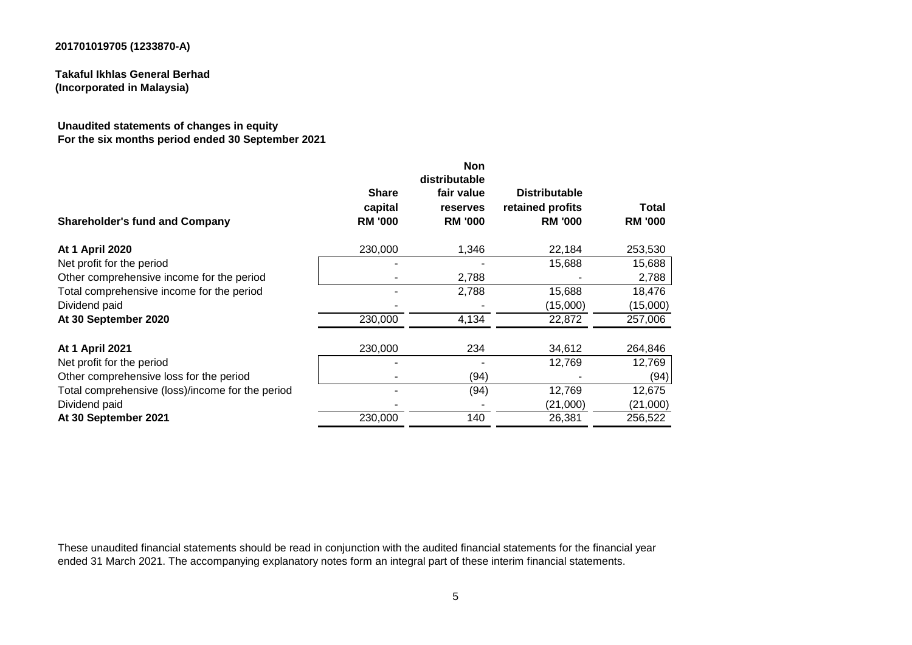**Takaful Ikhlas General Berhad (Incorporated in Malaysia)**

#### **Unaudited statements of changes in equity For the six months period ended 30 September 2021**

|                                           | <b>Non</b><br>distributable              |                                                            |                         |
|-------------------------------------------|------------------------------------------|------------------------------------------------------------|-------------------------|
| <b>Share</b><br>capital<br><b>RM '000</b> | fair value<br>reserves<br><b>RM '000</b> | <b>Distributable</b><br>retained profits<br><b>RM '000</b> | Total<br><b>RM '000</b> |
| 230,000                                   | 1,346                                    | 22,184                                                     | 253,530                 |
|                                           |                                          | 15,688                                                     | 15,688                  |
|                                           | 2,788                                    |                                                            | 2,788                   |
|                                           | 2,788                                    | 15,688                                                     | 18,476                  |
|                                           |                                          | (15,000)                                                   | (15,000)                |
| 230,000                                   | 4,134                                    | 22,872                                                     | 257,006                 |
| 230,000                                   | 234                                      | 34,612                                                     | 264,846                 |
|                                           |                                          | 12,769                                                     | 12,769                  |
|                                           | (94)                                     |                                                            | (94)                    |
|                                           | (94)                                     | 12,769                                                     | 12,675                  |
|                                           |                                          | (21,000)                                                   | (21,000)                |
| 230,000                                   | 140                                      | 26,381                                                     | 256,522                 |
|                                           |                                          |                                                            |                         |

These unaudited financial statements should be read in conjunction with the audited financial statements for the financial year ended 31 March 2021. The accompanying explanatory notes form an integral part of these interim financial statements.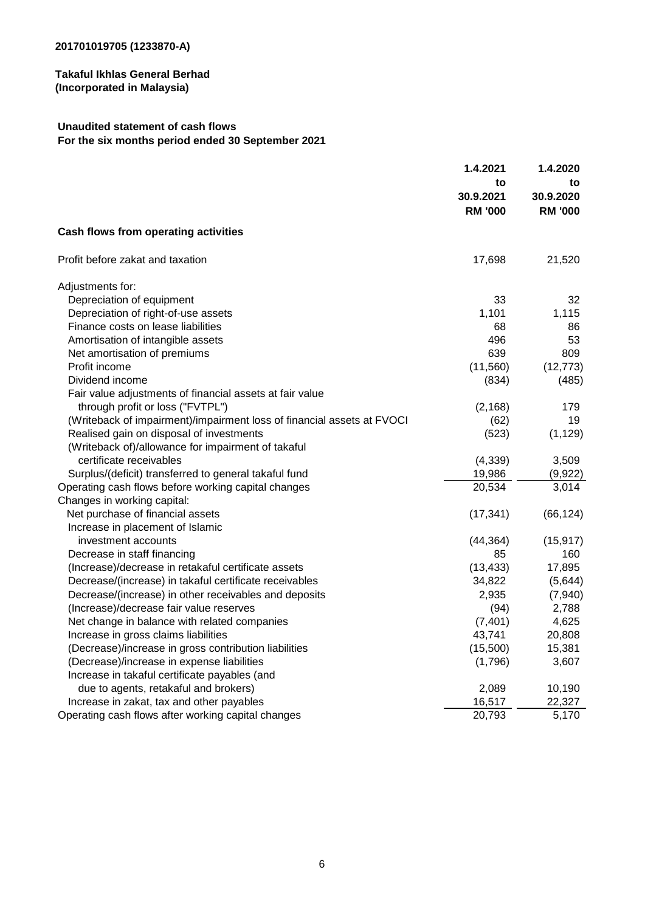# **Unaudited statement of cash flows For the six months period ended 30 September 2021**

|                                                                        | 1.4.2021                          | 1.4.2020                          |
|------------------------------------------------------------------------|-----------------------------------|-----------------------------------|
|                                                                        | to<br>30.9.2021<br><b>RM '000</b> | to<br>30.9.2020<br><b>RM '000</b> |
| Cash flows from operating activities                                   |                                   |                                   |
| Profit before zakat and taxation                                       | 17,698                            | 21,520                            |
| Adjustments for:                                                       |                                   |                                   |
| Depreciation of equipment                                              | 33                                | 32                                |
| Depreciation of right-of-use assets                                    | 1,101                             | 1,115                             |
| Finance costs on lease liabilities                                     | 68                                | 86                                |
| Amortisation of intangible assets                                      | 496                               | 53                                |
| Net amortisation of premiums                                           | 639                               | 809                               |
| Profit income                                                          | (11,560)                          | (12, 773)                         |
| Dividend income                                                        | (834)                             | (485)                             |
| Fair value adjustments of financial assets at fair value               |                                   |                                   |
| through profit or loss ("FVTPL")                                       | (2, 168)                          | 179                               |
| (Writeback of impairment)/impairment loss of financial assets at FVOCI | (62)                              | 19                                |
| Realised gain on disposal of investments                               | (523)                             | (1, 129)                          |
| (Writeback of)/allowance for impairment of takaful                     |                                   |                                   |
| certificate receivables                                                | (4, 339)                          | 3,509                             |
| Surplus/(deficit) transferred to general takaful fund                  | 19,986                            | (9,922)                           |
| Operating cash flows before working capital changes                    | 20,534                            | 3,014                             |
| Changes in working capital:                                            |                                   |                                   |
| Net purchase of financial assets                                       | (17, 341)                         | (66, 124)                         |
| Increase in placement of Islamic                                       |                                   |                                   |
| investment accounts                                                    | (44, 364)                         | (15, 917)                         |
| Decrease in staff financing                                            | 85                                | 160                               |
| (Increase)/decrease in retakaful certificate assets                    | (13, 433)                         | 17,895                            |
| Decrease/(increase) in takaful certificate receivables                 | 34,822                            | (5,644)                           |
| Decrease/(increase) in other receivables and deposits                  | 2,935                             | (7,940)                           |
| (Increase)/decrease fair value reserves                                | (94)                              | 2,788                             |
| Net change in balance with related companies                           | (7, 401)                          | 4,625                             |
| Increase in gross claims liabilities                                   | 43,741                            | 20,808                            |
| (Decrease)/increase in gross contribution liabilities                  | (15,500)                          | 15,381                            |
| (Decrease)/increase in expense liabilities                             | (1,796)                           | 3,607                             |
| Increase in takaful certificate payables (and                          |                                   |                                   |
| due to agents, retakaful and brokers)                                  | 2,089                             | 10,190                            |
| Increase in zakat, tax and other payables                              | 16,517                            | 22,327                            |
| Operating cash flows after working capital changes                     | 20,793                            | 5,170                             |
|                                                                        |                                   |                                   |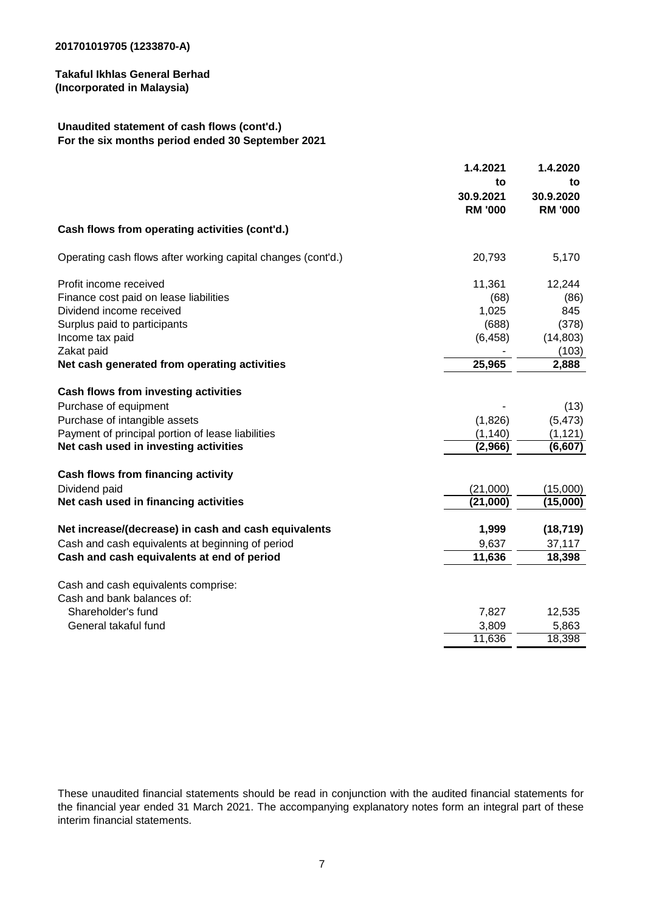# **Unaudited statement of cash flows (cont'd.) For the six months period ended 30 September 2021**

|                                                                   | 1.4.2021<br>to<br>30.9.2021<br><b>RM '000</b> | 1.4.2020<br>to<br>30.9.2020<br><b>RM '000</b> |
|-------------------------------------------------------------------|-----------------------------------------------|-----------------------------------------------|
| Cash flows from operating activities (cont'd.)                    |                                               |                                               |
| Operating cash flows after working capital changes (cont'd.)      | 20,793                                        | 5,170                                         |
| Profit income received                                            | 11,361                                        | 12,244                                        |
| Finance cost paid on lease liabilities                            | (68)                                          | (86)                                          |
| Dividend income received                                          | 1,025                                         | 845                                           |
| Surplus paid to participants                                      | (688)                                         | (378)                                         |
| Income tax paid                                                   | (6, 458)                                      | (14, 803)                                     |
| Zakat paid                                                        |                                               | (103)                                         |
| Net cash generated from operating activities                      | 25,965                                        | 2,888                                         |
| Cash flows from investing activities                              |                                               |                                               |
| Purchase of equipment                                             |                                               | (13)                                          |
| Purchase of intangible assets                                     | (1,826)                                       | (5, 473)                                      |
| Payment of principal portion of lease liabilities                 | (1, 140)                                      | (1, 121)                                      |
| Net cash used in investing activities                             | (2,966)                                       | (6,607)                                       |
| Cash flows from financing activity                                |                                               |                                               |
| Dividend paid                                                     | (21,000)                                      | (15,000)                                      |
| Net cash used in financing activities                             | (21,000)                                      | (15,000)                                      |
| Net increase/(decrease) in cash and cash equivalents              | 1,999                                         | (18, 719)                                     |
| Cash and cash equivalents at beginning of period                  | 9,637                                         | 37,117                                        |
| Cash and cash equivalents at end of period                        | 11,636                                        | 18,398                                        |
|                                                                   |                                               |                                               |
| Cash and cash equivalents comprise:<br>Cash and bank balances of: |                                               |                                               |
|                                                                   |                                               |                                               |
| Shareholder's fund                                                | 7,827                                         | 12,535                                        |
| General takaful fund                                              | 3,809<br>11,636                               | 5,863                                         |
|                                                                   |                                               | 18,398                                        |

These unaudited financial statements should be read in conjunction with the audited financial statements for the financial year ended 31 March 2021. The accompanying explanatory notes form an integral part of these interim financial statements.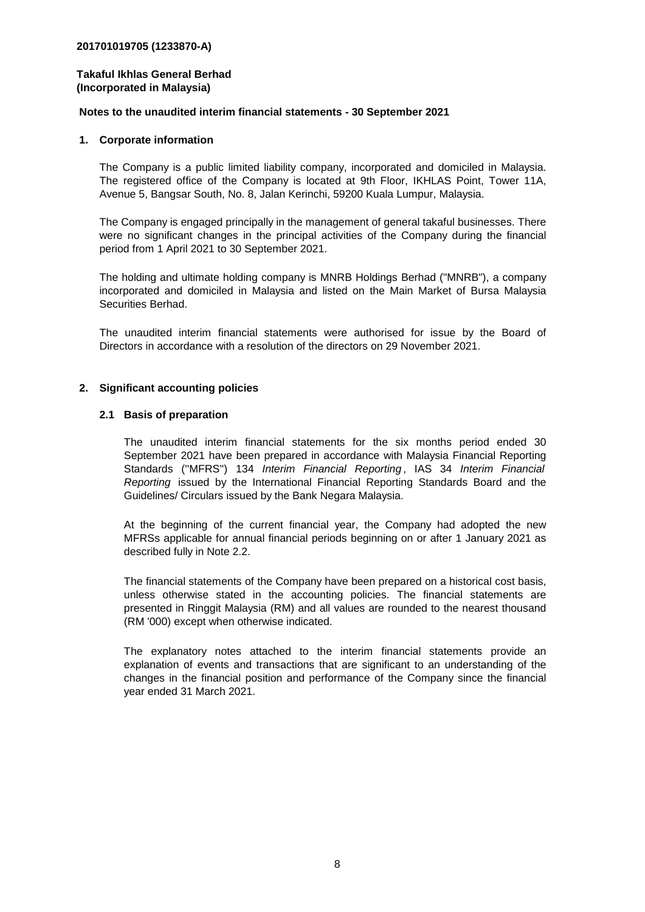#### **Notes to the unaudited interim financial statements - 30 September 2021**

#### **1. Corporate information**

The Company is a public limited liability company, incorporated and domiciled in Malaysia. The registered office of the Company is located at 9th Floor, IKHLAS Point, Tower 11A, Avenue 5, Bangsar South, No. 8, Jalan Kerinchi, 59200 Kuala Lumpur, Malaysia.

The Company is engaged principally in the management of general takaful businesses. There were no significant changes in the principal activities of the Company during the financial period from 1 April 2021 to 30 September 2021.

The holding and ultimate holding company is MNRB Holdings Berhad ("MNRB"), a company incorporated and domiciled in Malaysia and listed on the Main Market of Bursa Malaysia Securities Berhad.

The unaudited interim financial statements were authorised for issue by the Board of Directors in accordance with a resolution of the directors on 29 November 2021.

#### **2. Significant accounting policies**

#### **2.1 Basis of preparation**

The unaudited interim financial statements for the six months period ended 30 September 2021 have been prepared in accordance with Malaysia Financial Reporting Standards (''MFRS'') 134 *Interim Financial Reporting* , IAS 34 *Interim Financial Reporting* issued by the International Financial Reporting Standards Board and the Guidelines/ Circulars issued by the Bank Negara Malaysia.

At the beginning of the current financial year, the Company had adopted the new MFRSs applicable for annual financial periods beginning on or after 1 January 2021 as described fully in Note 2.2.

The financial statements of the Company have been prepared on a historical cost basis, unless otherwise stated in the accounting policies. The financial statements are presented in Ringgit Malaysia (RM) and all values are rounded to the nearest thousand (RM '000) except when otherwise indicated.

The explanatory notes attached to the interim financial statements provide an explanation of events and transactions that are significant to an understanding of the changes in the financial position and performance of the Company since the financial year ended 31 March 2021.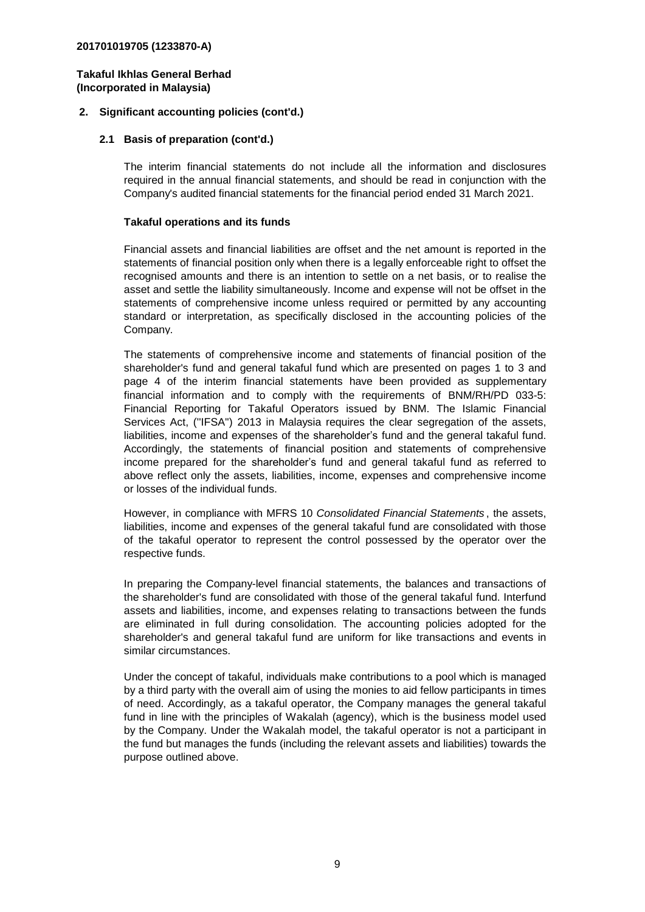#### **2. Significant accounting policies (cont'd.)**

#### **2.1 Basis of preparation (cont'd.)**

The interim financial statements do not include all the information and disclosures required in the annual financial statements, and should be read in conjunction with the Company's audited financial statements for the financial period ended 31 March 2021.

#### **Takaful operations and its funds**

Financial assets and financial liabilities are offset and the net amount is reported in the statements of financial position only when there is a legally enforceable right to offset the recognised amounts and there is an intention to settle on a net basis, or to realise the asset and settle the liability simultaneously. Income and expense will not be offset in the statements of comprehensive income unless required or permitted by any accounting standard or interpretation, as specifically disclosed in the accounting policies of the Company.

The statements of comprehensive income and statements of financial position of the shareholder's fund and general takaful fund which are presented on pages 1 to 3 and page 4 of the interim financial statements have been provided as supplementary financial information and to comply with the requirements of BNM/RH/PD 033-5: Financial Reporting for Takaful Operators issued by BNM. The Islamic Financial Services Act, (''IFSA'') 2013 in Malaysia requires the clear segregation of the assets, liabilities, income and expenses of the shareholder's fund and the general takaful fund. Accordingly, the statements of financial position and statements of comprehensive income prepared for the shareholder's fund and general takaful fund as referred to above reflect only the assets, liabilities, income, expenses and comprehensive income or losses of the individual funds.

However, in compliance with MFRS 10 *Consolidated Financial Statements* , the assets, liabilities, income and expenses of the general takaful fund are consolidated with those of the takaful operator to represent the control possessed by the operator over the respective funds.

In preparing the Company-level financial statements, the balances and transactions of the shareholder's fund are consolidated with those of the general takaful fund. Interfund assets and liabilities, income, and expenses relating to transactions between the funds are eliminated in full during consolidation. The accounting policies adopted for the shareholder's and general takaful fund are uniform for like transactions and events in similar circumstances.

Under the concept of takaful, individuals make contributions to a pool which is managed by a third party with the overall aim of using the monies to aid fellow participants in times of need. Accordingly, as a takaful operator, the Company manages the general takaful fund in line with the principles of Wakalah (agency), which is the business model used by the Company. Under the Wakalah model, the takaful operator is not a participant in the fund but manages the funds (including the relevant assets and liabilities) towards the purpose outlined above.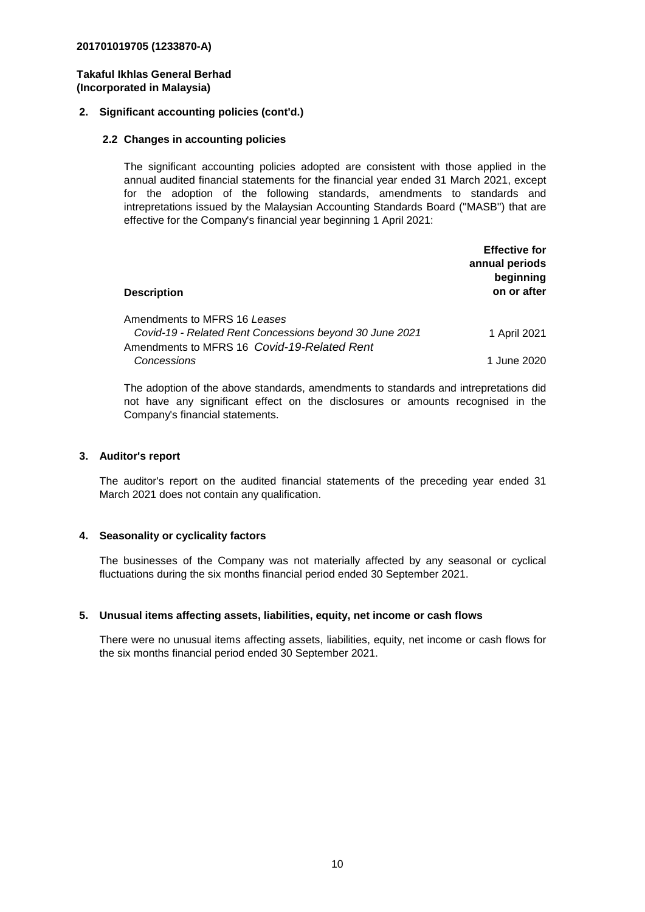#### **2. Significant accounting policies (cont'd.)**

#### **2.2 Changes in accounting policies**

The significant accounting policies adopted are consistent with those applied in the annual audited financial statements for the financial year ended 31 March 2021, except for the adoption of the following standards, amendments to standards and intrepretations issued by the Malaysian Accounting Standards Board (''MASB'') that are effective for the Company's financial year beginning 1 April 2021:

| <b>Description</b>                                                                                                                     | <b>Effective for</b><br>annual periods<br>beginning<br>on or after |
|----------------------------------------------------------------------------------------------------------------------------------------|--------------------------------------------------------------------|
| Amendments to MFRS 16 Leases<br>Covid-19 - Related Rent Concessions beyond 30 June 2021<br>Amendments to MFRS 16 Covid-19-Related Rent | 1 April 2021                                                       |
| Concessions                                                                                                                            | 1 June 2020                                                        |

The adoption of the above standards, amendments to standards and intrepretations did not have any significant effect on the disclosures or amounts recognised in the Company's financial statements.

#### **3. Auditor's report**

The auditor's report on the audited financial statements of the preceding year ended 31 March 2021 does not contain any qualification.

#### **4. Seasonality or cyclicality factors**

The businesses of the Company was not materially affected by any seasonal or cyclical fluctuations during the six months financial period ended 30 September 2021.

#### **5. Unusual items affecting assets, liabilities, equity, net income or cash flows**

There were no unusual items affecting assets, liabilities, equity, net income or cash flows for the six months financial period ended 30 September 2021.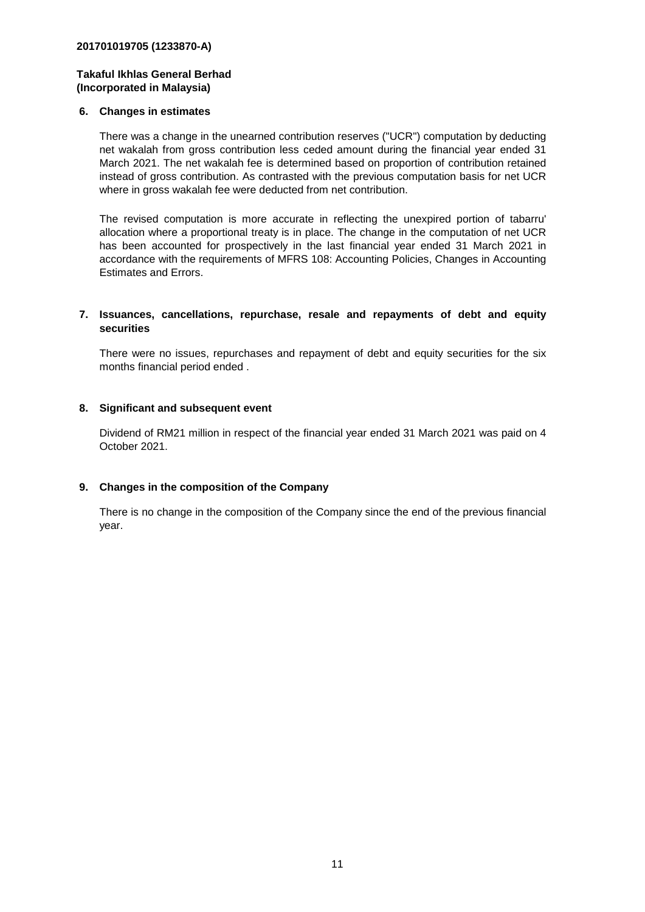#### **6. Changes in estimates**

There was a change in the unearned contribution reserves ("UCR") computation by deducting net wakalah from gross contribution less ceded amount during the financial year ended 31 March 2021. The net wakalah fee is determined based on proportion of contribution retained instead of gross contribution. As contrasted with the previous computation basis for net UCR where in gross wakalah fee were deducted from net contribution.

The revised computation is more accurate in reflecting the unexpired portion of tabarru' allocation where a proportional treaty is in place. The change in the computation of net UCR has been accounted for prospectively in the last financial year ended 31 March 2021 in accordance with the requirements of MFRS 108: Accounting Policies, Changes in Accounting Estimates and Errors.

#### **7. Issuances, cancellations, repurchase, resale and repayments of debt and equity securities**

There were no issues, repurchases and repayment of debt and equity securities for the six months financial period ended .

#### **8. Significant and subsequent event**

Dividend of RM21 million in respect of the financial year ended 31 March 2021 was paid on 4 October 2021.

# **9. Changes in the composition of the Company**

There is no change in the composition of the Company since the end of the previous financial year.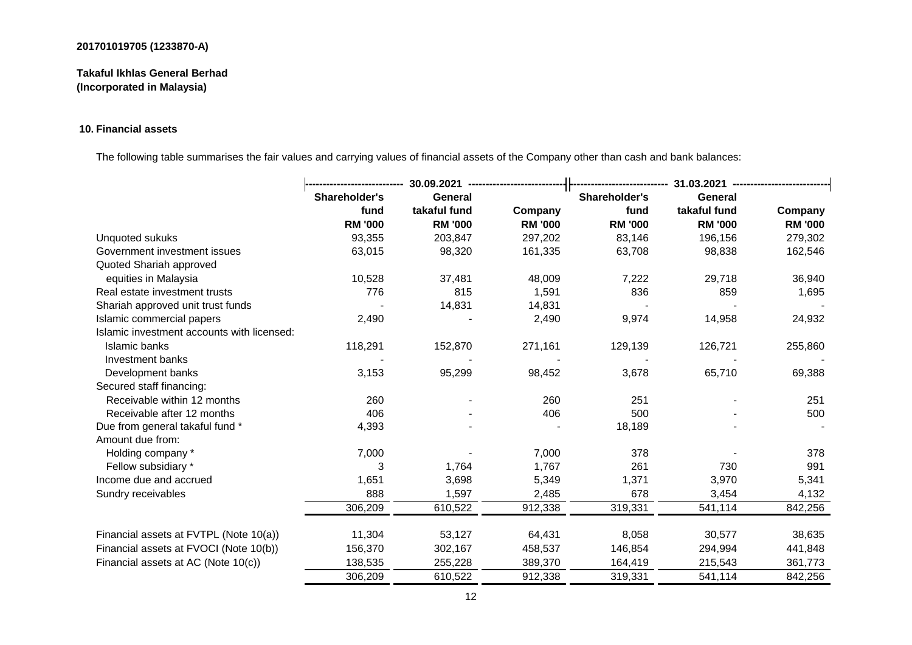# **Takaful Ikhlas General Berhad (Incorporated in Malaysia)**

# **10. Financial assets**

The following table summarises the fair values and carrying values of financial assets of the Company other than cash and bank balances:

|                                            | 30.09.2021 -------------------- |                | 31.03.2021 --------------------<br> |                |                |                |
|--------------------------------------------|---------------------------------|----------------|-------------------------------------|----------------|----------------|----------------|
|                                            | Shareholder's                   | General        |                                     | Shareholder's  | General        |                |
|                                            | fund                            | takaful fund   | Company                             | fund           | takaful fund   | Company        |
|                                            | <b>RM '000</b>                  | <b>RM '000</b> | <b>RM '000</b>                      | <b>RM '000</b> | <b>RM '000</b> | <b>RM '000</b> |
| <b>Unquoted sukuks</b>                     | 93,355                          | 203,847        | 297,202                             | 83,146         | 196,156        | 279,302        |
| Government investment issues               | 63,015                          | 98,320         | 161,335                             | 63,708         | 98,838         | 162,546        |
| Quoted Shariah approved                    |                                 |                |                                     |                |                |                |
| equities in Malaysia                       | 10,528                          | 37,481         | 48,009                              | 7,222          | 29,718         | 36,940         |
| Real estate investment trusts              | 776                             | 815            | 1,591                               | 836            | 859            | 1,695          |
| Shariah approved unit trust funds          |                                 | 14,831         | 14,831                              |                |                |                |
| Islamic commercial papers                  | 2,490                           |                | 2,490                               | 9,974          | 14,958         | 24,932         |
| Islamic investment accounts with licensed: |                                 |                |                                     |                |                |                |
| Islamic banks                              | 118,291                         | 152,870        | 271,161                             | 129,139        | 126,721        | 255,860        |
| Investment banks                           |                                 |                |                                     |                |                |                |
| Development banks                          | 3,153                           | 95,299         | 98,452                              | 3,678          | 65,710         | 69,388         |
| Secured staff financing:                   |                                 |                |                                     |                |                |                |
| Receivable within 12 months                | 260                             |                | 260                                 | 251            |                | 251            |
| Receivable after 12 months                 | 406                             |                | 406                                 | 500            |                | 500            |
| Due from general takaful fund *            | 4,393                           |                |                                     | 18,189         |                |                |
| Amount due from:                           |                                 |                |                                     |                |                |                |
| Holding company *                          | 7,000                           |                | 7,000                               | 378            |                | 378            |
| Fellow subsidiary *                        | 3                               | 1,764          | 1,767                               | 261            | 730            | 991            |
| Income due and accrued                     | 1,651                           | 3,698          | 5,349                               | 1,371          | 3,970          | 5,341          |
| Sundry receivables                         | 888                             | 1,597          | 2,485                               | 678            | 3,454          | 4,132          |
|                                            | 306,209                         | 610,522        | 912,338                             | 319,331        | 541,114        | 842,256        |
| Financial assets at FVTPL (Note 10(a))     | 11,304                          | 53,127         | 64,431                              | 8,058          | 30,577         | 38,635         |
| Financial assets at FVOCI (Note 10(b))     | 156,370                         | 302,167        | 458,537                             | 146,854        | 294,994        | 441,848        |
| Financial assets at AC (Note 10(c))        | 138,535                         | 255,228        | 389,370                             | 164,419        | 215,543        | 361,773        |
|                                            | 306,209                         | 610,522        | 912,338                             | 319,331        | 541,114        | 842,256        |
|                                            |                                 |                |                                     |                |                |                |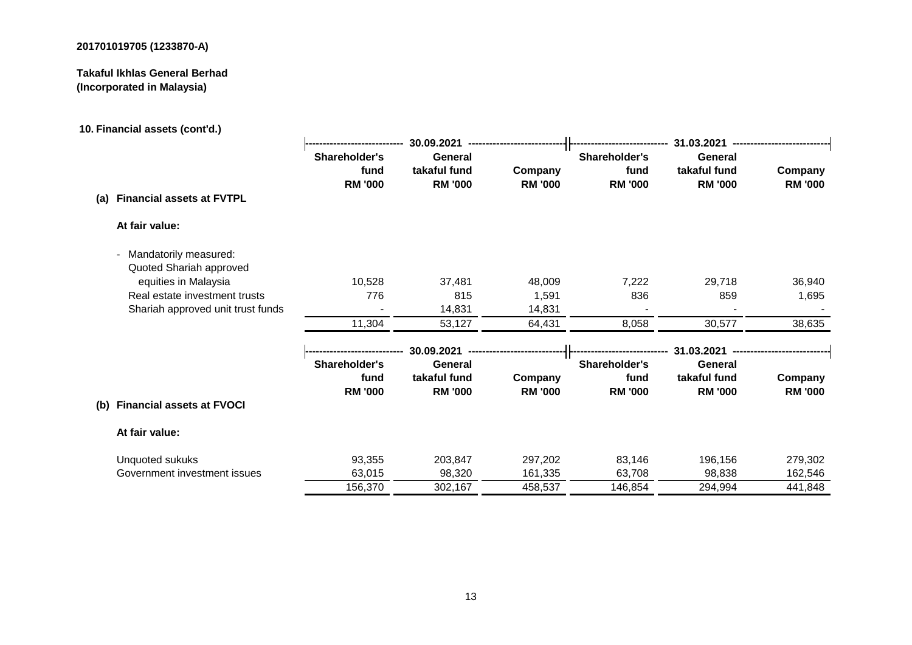# **Takaful Ikhlas General Berhad (Incorporated in Malaysia)**

# **10. Financial assets (cont'd.)**

|                                         |                                         | 30.09.2021                                |                           | 31.03.2021                              |                                           |                           |  |
|-----------------------------------------|-----------------------------------------|-------------------------------------------|---------------------------|-----------------------------------------|-------------------------------------------|---------------------------|--|
|                                         | Shareholder's<br>fund<br><b>RM '000</b> | General<br>takaful fund<br><b>RM '000</b> | Company<br><b>RM '000</b> | Shareholder's<br>fund<br><b>RM '000</b> | General<br>takaful fund<br><b>RM '000</b> | Company<br><b>RM '000</b> |  |
| <b>Financial assets at FVTPL</b><br>(a) |                                         |                                           |                           |                                         |                                           |                           |  |
| At fair value:                          |                                         |                                           |                           |                                         |                                           |                           |  |
| - Mandatorily measured:                 |                                         |                                           |                           |                                         |                                           |                           |  |
| Quoted Shariah approved                 |                                         |                                           |                           |                                         |                                           |                           |  |
| equities in Malaysia                    | 10,528                                  | 37,481                                    | 48,009                    | 7,222                                   | 29,718                                    | 36,940                    |  |
| Real estate investment trusts           | 776                                     | 815                                       | 1,591                     | 836                                     | 859                                       | 1,695                     |  |
| Shariah approved unit trust funds       |                                         | 14,831                                    | 14,831                    |                                         |                                           |                           |  |
|                                         | 11,304                                  | 53,127                                    | 64,431                    | 8,058                                   | 30,577                                    | 38,635                    |  |
|                                         |                                         | 30.09.2021                                |                           |                                         | 31.03.2021                                |                           |  |
|                                         | Shareholder's                           | General                                   |                           | Shareholder's                           | General                                   |                           |  |
|                                         | fund<br><b>RM '000</b>                  | takaful fund<br><b>RM '000</b>            | Company<br><b>RM '000</b> | fund<br><b>RM '000</b>                  | takaful fund<br><b>RM '000</b>            | Company<br><b>RM '000</b> |  |
| <b>Financial assets at FVOCI</b><br>(b) |                                         |                                           |                           |                                         |                                           |                           |  |
| At fair value:                          |                                         |                                           |                           |                                         |                                           |                           |  |
| Unquoted sukuks                         | 93,355                                  | 203,847                                   | 297,202                   | 83,146                                  | 196,156                                   | 279,302                   |  |
| Government investment issues            | 63,015                                  | 98,320                                    | 161,335                   | 63,708                                  | 98,838                                    | 162,546                   |  |
|                                         | 156,370                                 | 302,167                                   | 458,537                   | 146,854                                 | 294,994                                   | 441,848                   |  |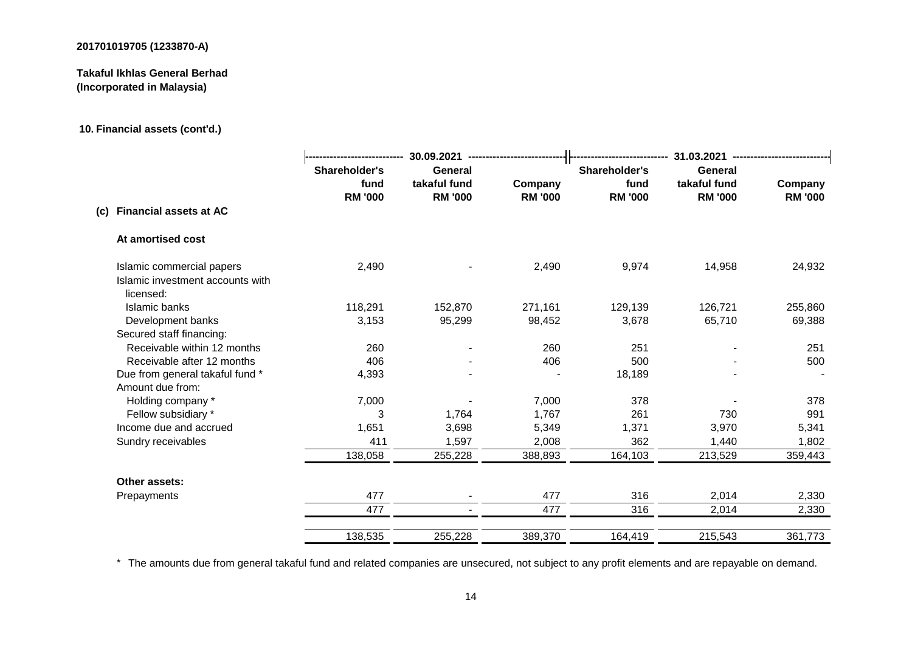# **Takaful Ikhlas General Berhad (Incorporated in Malaysia)**

# **10. Financial assets (cont'd.)**

|                                                                            |                                         | 30.09.2021                                |                           |                                         | 31.03.2021                                |                           |  |  |
|----------------------------------------------------------------------------|-----------------------------------------|-------------------------------------------|---------------------------|-----------------------------------------|-------------------------------------------|---------------------------|--|--|
|                                                                            | Shareholder's<br>fund<br><b>RM '000</b> | General<br>takaful fund<br><b>RM '000</b> | Company<br><b>RM '000</b> | Shareholder's<br>fund<br><b>RM '000</b> | General<br>takaful fund<br><b>RM '000</b> | Company<br><b>RM '000</b> |  |  |
| (c) Financial assets at AC                                                 |                                         |                                           |                           |                                         |                                           |                           |  |  |
| At amortised cost                                                          |                                         |                                           |                           |                                         |                                           |                           |  |  |
| Islamic commercial papers<br>Islamic investment accounts with<br>licensed: | 2,490                                   |                                           | 2,490                     | 9,974                                   | 14,958                                    | 24,932                    |  |  |
| Islamic banks                                                              | 118,291                                 | 152,870                                   | 271,161                   | 129,139                                 | 126,721                                   | 255,860                   |  |  |
| Development banks                                                          | 3,153                                   | 95,299                                    | 98,452                    | 3,678                                   | 65,710                                    | 69,388                    |  |  |
| Secured staff financing:                                                   |                                         |                                           |                           |                                         |                                           |                           |  |  |
| Receivable within 12 months                                                | 260                                     |                                           | 260                       | 251                                     |                                           | 251                       |  |  |
| Receivable after 12 months                                                 | 406                                     |                                           | 406                       | 500                                     |                                           | 500                       |  |  |
| Due from general takaful fund *<br>Amount due from:                        | 4,393                                   |                                           |                           | 18,189                                  |                                           |                           |  |  |
| Holding company *                                                          | 7,000                                   |                                           | 7,000                     | 378                                     |                                           | 378                       |  |  |
| Fellow subsidiary *                                                        | 3                                       | 1,764                                     | 1,767                     | 261                                     | 730                                       | 991                       |  |  |
| Income due and accrued                                                     | 1,651                                   | 3,698                                     | 5,349                     | 1,371                                   | 3,970                                     | 5,341                     |  |  |
| Sundry receivables                                                         | 411                                     | 1,597                                     | 2,008                     | 362                                     | 1,440                                     | 1,802                     |  |  |
|                                                                            | 138,058                                 | 255,228                                   | 388,893                   | 164,103                                 | 213,529                                   | 359,443                   |  |  |
| Other assets:                                                              |                                         |                                           |                           |                                         |                                           |                           |  |  |
| Prepayments                                                                | 477                                     |                                           | 477                       | 316                                     | 2,014                                     | 2,330                     |  |  |
|                                                                            | 477                                     |                                           | 477                       | 316                                     | 2,014                                     | 2,330                     |  |  |
|                                                                            | 138,535                                 | 255,228                                   | 389,370                   | 164,419                                 | 215,543                                   | 361,773                   |  |  |

\* The amounts due from general takaful fund and related companies are unsecured, not subject to any profit elements and are repayable on demand.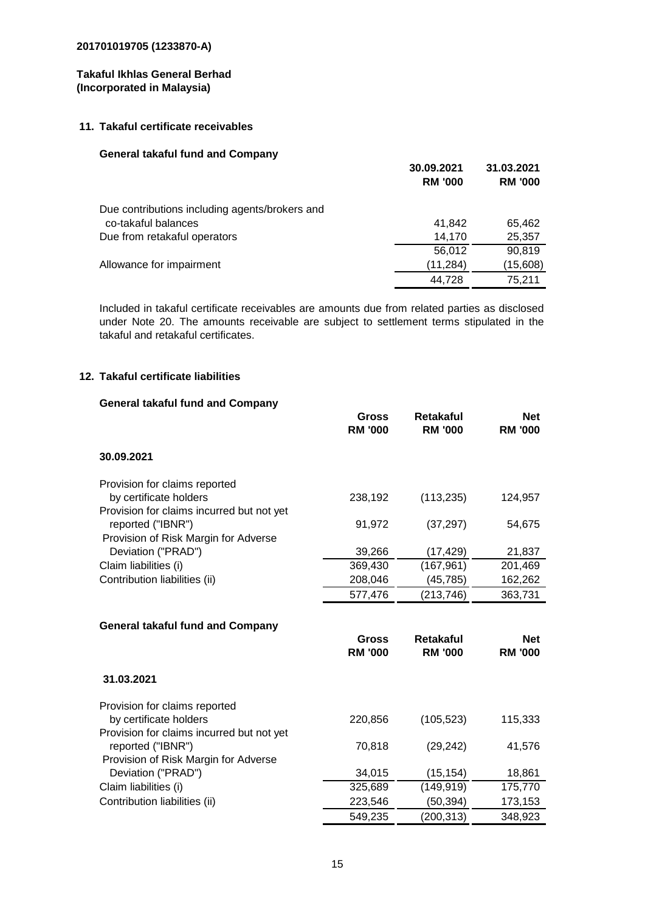#### **11. Takaful certificate receivables**

#### **General takaful fund and Company**

|                                                | <b>RM '000</b> | <b>RM '000</b> |
|------------------------------------------------|----------------|----------------|
| Due contributions including agents/brokers and |                |                |
| co-takaful balances                            | 41.842         | 65,462         |
| Due from retakaful operators                   | 14.170         | 25,357         |
|                                                | 56.012         | 90,819         |
| Allowance for impairment                       | (11, 284)      | (15,608)       |
|                                                | 44.728         | 75.211         |

**30.09.2021 31.03.2021**

Included in takaful certificate receivables are amounts due from related parties as disclosed under Note 20. The amounts receivable are subject to settlement terms stipulated in the takaful and retakaful certificates.

# **12. Takaful certificate liabilities**

| <b>General takaful fund and Company</b>   |                                |                                    |                              |
|-------------------------------------------|--------------------------------|------------------------------------|------------------------------|
|                                           | <b>Gross</b><br><b>RM '000</b> | <b>Retakaful</b><br><b>RM '000</b> | <b>Net</b><br><b>RM '000</b> |
| 30.09.2021                                |                                |                                    |                              |
| Provision for claims reported             |                                |                                    |                              |
| by certificate holders                    | 238,192                        | (113, 235)                         | 124,957                      |
| Provision for claims incurred but not yet |                                |                                    |                              |
| reported ("IBNR")                         | 91,972                         | (37, 297)                          | 54,675                       |
| Provision of Risk Margin for Adverse      |                                |                                    |                              |
| Deviation ("PRAD")                        | 39,266                         | (17, 429)                          | 21,837                       |
| Claim liabilities (i)                     | 369,430                        | (167, 961)                         | 201,469                      |
| Contribution liabilities (ii)             | 208,046                        | (45, 785)                          | 162,262                      |
|                                           | 577,476                        | (213, 746)                         | 363,731                      |
| <b>General takaful fund and Company</b>   |                                |                                    |                              |
|                                           | <b>Gross</b>                   | <b>Retakaful</b>                   | <b>Net</b>                   |
|                                           | <b>RM '000</b>                 | <b>RM '000</b>                     | <b>RM '000</b>               |
| 31.03.2021                                |                                |                                    |                              |
| Provision for claims reported             |                                |                                    |                              |
| by certificate holders                    | 220,856                        | (105, 523)                         | 115,333                      |
| Provision for claims incurred but not yet |                                |                                    |                              |
| reported ("IBNR")                         | 70,818                         | (29, 242)                          | 41,576                       |
| Provision of Risk Margin for Adverse      |                                |                                    |                              |
| Deviation ("PRAD")                        | 34,015                         | (15, 154)                          | 18,861                       |
| Claim liabilities (i)                     | 325,689                        | (149, 919)                         | 175,770                      |
| Contribution liabilities (ii)             | 223,546                        | (50, 394)                          | 173,153                      |
|                                           |                                |                                    |                              |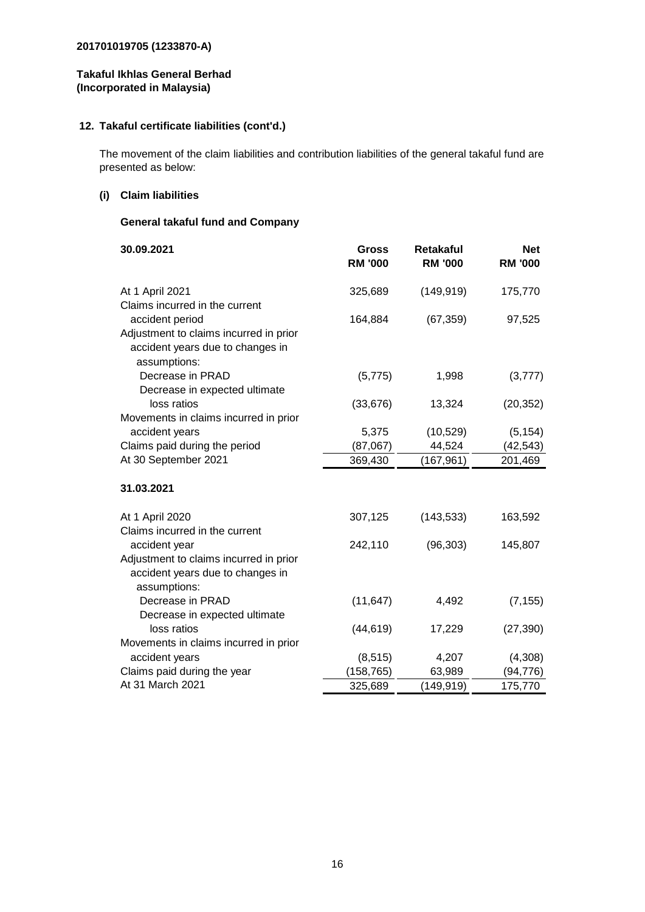#### **Takaful Ikhlas General Berhad (Incorporated in Malaysia)**

# **12. Takaful certificate liabilities (cont'd.)**

The movement of the claim liabilities and contribution liabilities of the general takaful fund are presented as below:

#### **(i) Claim liabilities**

# **General takaful fund and Company**

| 30.09.2021                             | <b>Gross</b><br><b>RM '000</b> | <b>Retakaful</b><br><b>RM '000</b> | <b>Net</b><br><b>RM '000</b> |
|----------------------------------------|--------------------------------|------------------------------------|------------------------------|
| At 1 April 2021                        | 325,689                        | (149, 919)                         | 175,770                      |
| Claims incurred in the current         |                                |                                    |                              |
| accident period                        | 164,884                        | (67, 359)                          | 97,525                       |
| Adjustment to claims incurred in prior |                                |                                    |                              |
| accident years due to changes in       |                                |                                    |                              |
| assumptions:                           |                                |                                    |                              |
| Decrease in PRAD                       | (5, 775)                       | 1,998                              | (3, 777)                     |
| Decrease in expected ultimate          |                                |                                    |                              |
| loss ratios                            | (33, 676)                      | 13,324                             | (20, 352)                    |
| Movements in claims incurred in prior  |                                |                                    |                              |
| accident years                         | 5,375                          | (10, 529)                          | (5, 154)                     |
| Claims paid during the period          | (87,067)                       | 44,524                             | (42, 543)                    |
| At 30 September 2021                   | 369,430                        | (167, 961)                         | 201,469                      |
| 31.03.2021                             |                                |                                    |                              |
| At 1 April 2020                        | 307,125                        | (143, 533)                         | 163,592                      |
| Claims incurred in the current         |                                |                                    |                              |
| accident year                          | 242,110                        | (96, 303)                          | 145,807                      |
| Adjustment to claims incurred in prior |                                |                                    |                              |
| accident years due to changes in       |                                |                                    |                              |
| assumptions:                           |                                |                                    |                              |
| Decrease in PRAD                       | (11, 647)                      | 4,492                              | (7, 155)                     |
| Decrease in expected ultimate          |                                |                                    |                              |
| loss ratios                            | (44, 619)                      | 17,229                             | (27, 390)                    |
| Movements in claims incurred in prior  |                                |                                    |                              |
| accident years                         | (8, 515)                       | 4,207                              | (4,308)                      |
| Claims paid during the year            | (158, 765)                     | 63,989                             | (94, 776)                    |
| At 31 March 2021                       | 325,689                        | (149, 919)                         | 175,770                      |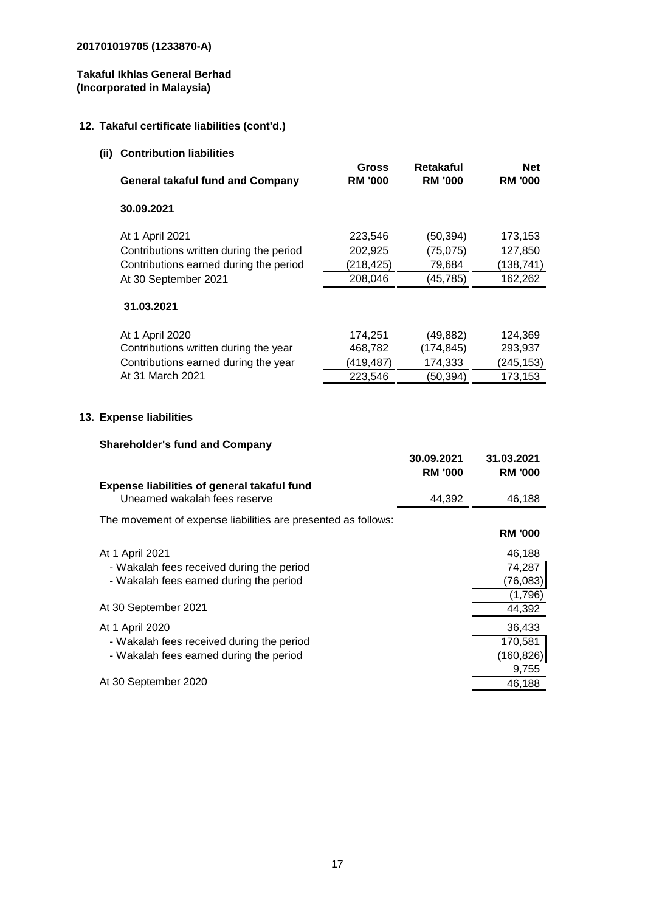**13.** 

# **Takaful Ikhlas General Berhad (Incorporated in Malaysia)**

# **12. Takaful certificate liabilities (cont'd.)**

| (ii) Contribution liabilities                                                                                        |                                             |                                                 |                                             |
|----------------------------------------------------------------------------------------------------------------------|---------------------------------------------|-------------------------------------------------|---------------------------------------------|
| <b>General takaful fund and Company</b>                                                                              | Gross<br><b>RM '000</b>                     | Retakaful<br><b>RM '000</b>                     | <b>Net</b><br><b>RM '000</b>                |
| 30.09.2021                                                                                                           |                                             |                                                 |                                             |
| At 1 April 2021<br>Contributions written during the period                                                           | 223,546<br>202,925                          | (50, 394)<br>(75,075)                           | 173,153<br>127,850                          |
| Contributions earned during the period<br>At 30 September 2021                                                       | (218,425)<br>208,046                        | 79,684<br>(45, 785)                             | (138, 741)<br>162,262                       |
| 31.03.2021                                                                                                           |                                             |                                                 |                                             |
| At 1 April 2020<br>Contributions written during the year<br>Contributions earned during the year<br>At 31 March 2021 | 174,251<br>468,782<br>(419, 487)<br>223,546 | (49, 882)<br>(174, 845)<br>174,333<br>(50, 394) | 124,369<br>293,937<br>(245, 153)<br>173,153 |
| <b>Expense liabilities</b>                                                                                           |                                             |                                                 |                                             |
|                                                                                                                      |                                             |                                                 |                                             |
| <b>Shareholder's fund and Company</b>                                                                                |                                             | 30.09.2021<br><b>RM '000</b>                    | 31.03.2021<br><b>RM '000</b>                |
| Expense liabilities of general takaful fund<br>Unearned wakalah fees reserve                                         |                                             | 44,392                                          | 46,188                                      |
| The movement of expense liabilities are presented as follows:                                                        |                                             |                                                 | <b>RM '000</b>                              |
| At 1 April 2021<br>- Wakalah fees received during the period<br>- Wakalah fees earned during the period              |                                             |                                                 | 46,188<br>74,287<br>(76,083)                |
| At 30 September 2021                                                                                                 |                                             |                                                 | (1,796)<br>44,392                           |
| At 1 April 2020<br>- Wakalah fees received during the period<br>- Wakalah fees earned during the period              |                                             |                                                 | 36,433<br>170,581<br>(160, 826)<br>9,755    |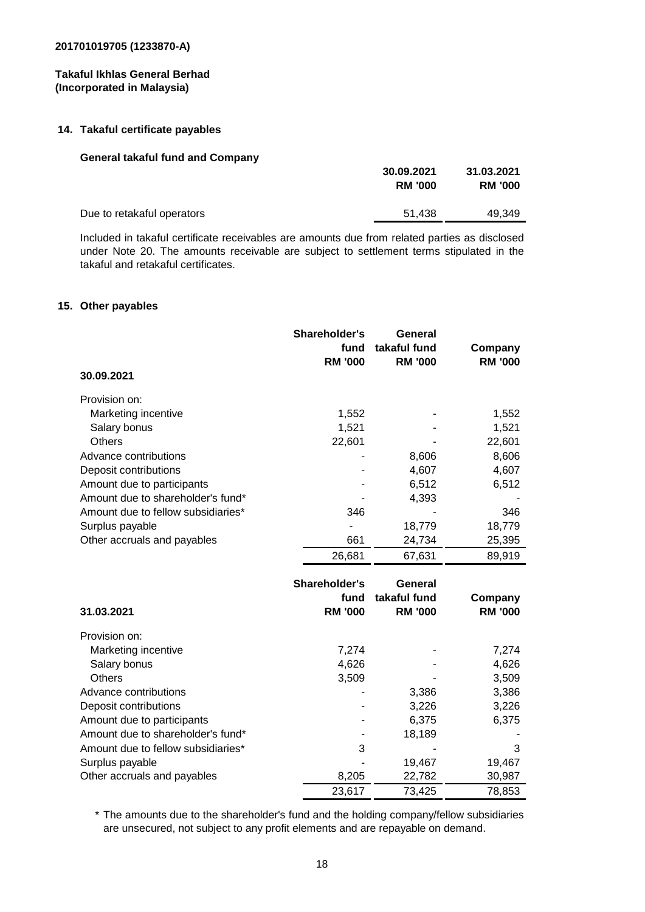# **14. Takaful certificate payables**

#### **General takaful fund and Company**

| 51.438 | 49.349 |
|--------|--------|
|        |        |

Included in takaful certificate receivables are amounts due from related parties as disclosed under Note 20. The amounts receivable are subject to settlement terms stipulated in the takaful and retakaful certificates.

# **15. Other payables**

| 30.09.2021                         | Shareholder's<br>fund<br><b>RM '000</b> | General<br>takaful fund<br><b>RM '000</b> | Company<br><b>RM '000</b> |
|------------------------------------|-----------------------------------------|-------------------------------------------|---------------------------|
| Provision on:                      |                                         |                                           |                           |
| Marketing incentive                | 1,552                                   |                                           | 1,552                     |
| Salary bonus                       | 1,521                                   |                                           | 1,521                     |
| <b>Others</b>                      | 22,601                                  |                                           | 22,601                    |
| Advance contributions              |                                         | 8,606                                     | 8,606                     |
| Deposit contributions              |                                         | 4,607                                     | 4,607                     |
| Amount due to participants         |                                         | 6,512                                     | 6,512                     |
| Amount due to shareholder's fund*  |                                         | 4,393                                     |                           |
| Amount due to fellow subsidiaries* | 346                                     |                                           | 346                       |
| Surplus payable                    |                                         | 18,779                                    | 18,779                    |
| Other accruals and payables        | 661                                     | 24,734                                    | 25,395                    |
|                                    | 26,681                                  | 67,631                                    | 89,919                    |

| 31.03.2021                         | Shareholder's<br>fund<br><b>RM '000</b> | General<br>takaful fund<br><b>RM '000</b> | Company<br><b>RM '000</b> |
|------------------------------------|-----------------------------------------|-------------------------------------------|---------------------------|
| Provision on:                      |                                         |                                           |                           |
| Marketing incentive                | 7,274                                   |                                           | 7,274                     |
| Salary bonus                       | 4,626                                   |                                           | 4,626                     |
| <b>Others</b>                      | 3,509                                   |                                           | 3,509                     |
| Advance contributions              |                                         | 3,386                                     | 3,386                     |
| Deposit contributions              |                                         | 3,226                                     | 3,226                     |
| Amount due to participants         |                                         | 6,375                                     | 6,375                     |
| Amount due to shareholder's fund*  |                                         | 18,189                                    |                           |
| Amount due to fellow subsidiaries* | 3                                       |                                           | 3                         |
| Surplus payable                    |                                         | 19,467                                    | 19,467                    |
| Other accruals and payables        | 8,205                                   | 22,782                                    | 30,987                    |
|                                    | 23,617                                  | 73,425                                    | 78,853                    |

\* The amounts due to the shareholder's fund and the holding company/fellow subsidiaries are unsecured, not subject to any profit elements and are repayable on demand.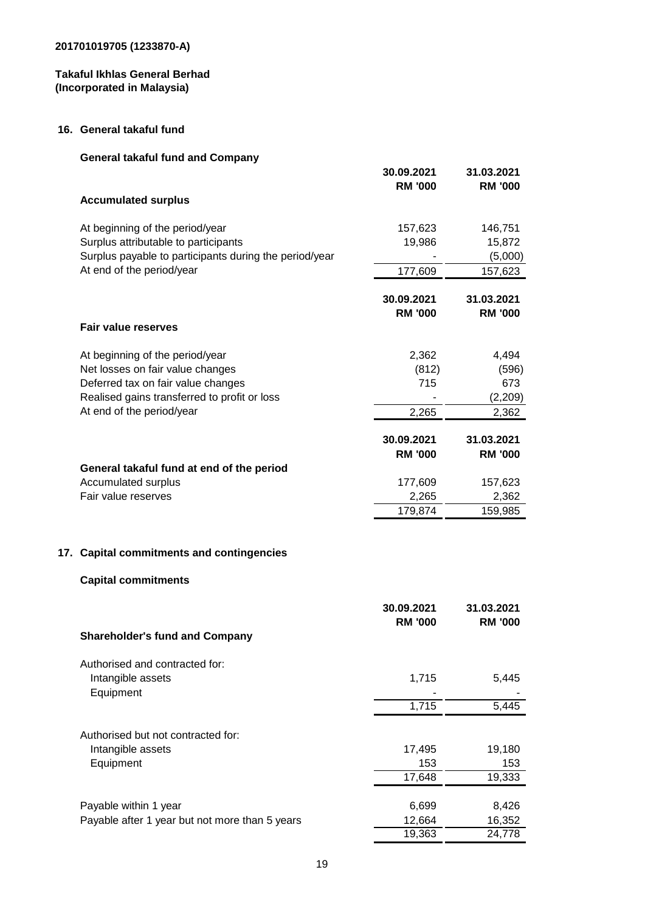# **Takaful Ikhlas General Berhad (Incorporated in Malaysia)**

#### **16. General takaful fund**

|     | <b>General takaful fund and Company</b>                                 |                  |                  |
|-----|-------------------------------------------------------------------------|------------------|------------------|
|     |                                                                         | 30.09.2021       | 31.03.2021       |
|     |                                                                         | <b>RM '000</b>   | <b>RM '000</b>   |
|     | <b>Accumulated surplus</b>                                              |                  |                  |
|     | At beginning of the period/year                                         | 157,623          | 146,751          |
|     | Surplus attributable to participants                                    | 19,986           | 15,872           |
|     | Surplus payable to participants during the period/year                  |                  | (5,000)          |
|     | At end of the period/year                                               | 177,609          | 157,623          |
|     |                                                                         | 30.09.2021       | 31.03.2021       |
|     |                                                                         | <b>RM '000</b>   | <b>RM '000</b>   |
|     | <b>Fair value reserves</b>                                              |                  |                  |
|     | At beginning of the period/year                                         | 2,362            | 4,494            |
|     | Net losses on fair value changes                                        | (812)            | (596)            |
|     | Deferred tax on fair value changes                                      | 715              | 673              |
|     | Realised gains transferred to profit or loss                            |                  | (2,209)          |
|     | At end of the period/year                                               | 2,265            | 2,362            |
|     |                                                                         | 30.09.2021       | 31.03.2021       |
|     |                                                                         | <b>RM '000</b>   | <b>RM '000</b>   |
|     | General takaful fund at end of the period                               |                  |                  |
|     | Accumulated surplus                                                     | 177,609          | 157,623          |
|     | Fair value reserves                                                     | 2,265            | 2,362            |
|     |                                                                         | 179,874          | 159,985          |
|     |                                                                         |                  |                  |
| 17. | <b>Capital commitments and contingencies</b>                            |                  |                  |
|     | <b>Capital commitments</b>                                              |                  |                  |
|     |                                                                         | 30.09.2021       | 31.03.2021       |
|     |                                                                         | <b>RM '000</b>   | <b>RM '000</b>   |
|     | <b>Shareholder's fund and Company</b>                                   |                  |                  |
|     | Authorised and contracted for:                                          |                  |                  |
|     | Intangible assets                                                       | 1,715            | 5,445            |
|     | Equipment                                                               |                  |                  |
|     |                                                                         | 1,715            | 5,445            |
|     | Authorised but not contracted for:                                      |                  |                  |
|     | Intangible assets                                                       | 17,495           | 19,180           |
|     | Equipment                                                               | 153              | 153              |
|     |                                                                         | 17,648           | 19,333           |
|     |                                                                         |                  |                  |
|     | Payable within 1 year<br>Payable after 1 year but not more than 5 years | 6,699            | 8,426            |
|     |                                                                         | 12,664<br>19,363 | 16,352<br>24,778 |
|     |                                                                         |                  |                  |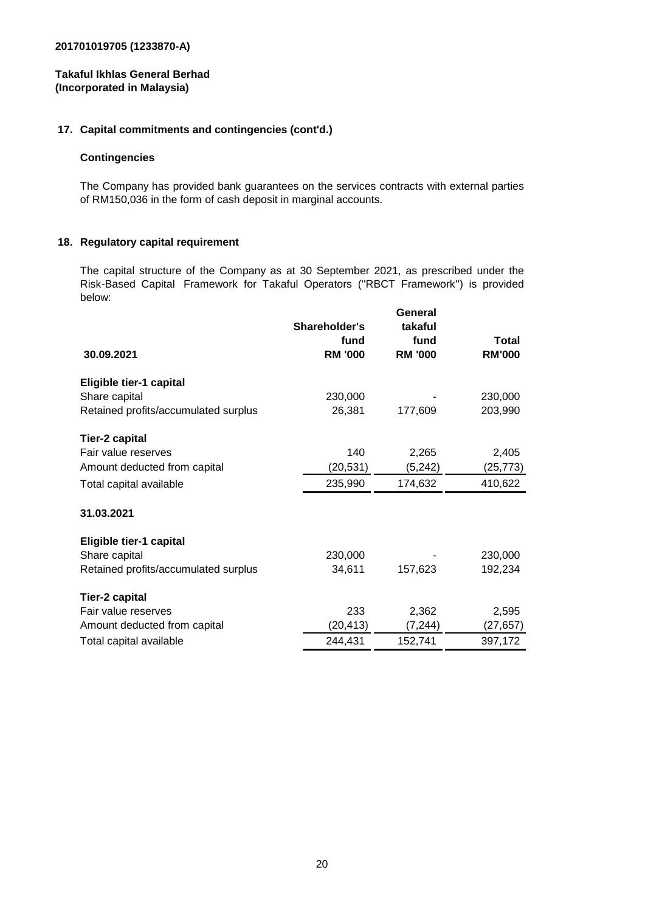#### **Takaful Ikhlas General Berhad (Incorporated in Malaysia)**

#### **17. Capital commitments and contingencies (cont'd.)**

#### **Contingencies**

The Company has provided bank guarantees on the services contracts with external parties of RM150,036 in the form of cash deposit in marginal accounts.

#### **18. Regulatory capital requirement**

The capital structure of the Company as at 30 September 2021, as prescribed under the Risk-Based Capital Framework for Takaful Operators (''RBCT Framework'') is provided below:

| 30.09.2021                           | Shareholder's<br>fund<br><b>RM '000</b> | General<br>takaful<br>fund<br><b>RM '000</b> | <b>Total</b><br><b>RM'000</b> |
|--------------------------------------|-----------------------------------------|----------------------------------------------|-------------------------------|
| Eligible tier-1 capital              |                                         |                                              |                               |
| Share capital                        | 230,000                                 |                                              | 230,000                       |
| Retained profits/accumulated surplus | 26,381                                  | 177,609                                      | 203,990                       |
| <b>Tier-2 capital</b>                |                                         |                                              |                               |
| Fair value reserves                  | 140                                     | 2,265                                        | 2,405                         |
| Amount deducted from capital         | (20, 531)                               | (5,242)                                      | (25,773)                      |
| Total capital available              | 235,990                                 | 174,632                                      | 410,622                       |
| 31.03.2021                           |                                         |                                              |                               |
| Eligible tier-1 capital              |                                         |                                              |                               |
| Share capital                        | 230,000                                 |                                              | 230,000                       |
| Retained profits/accumulated surplus | 34,611                                  | 157,623                                      | 192,234                       |
| <b>Tier-2 capital</b>                |                                         |                                              |                               |
| Fair value reserves                  | 233                                     | 2,362                                        | 2,595                         |
| Amount deducted from capital         | (20, 413)                               | (7, 244)                                     | (27, 657)                     |
| Total capital available              | 244,431                                 | 152,741                                      | 397,172                       |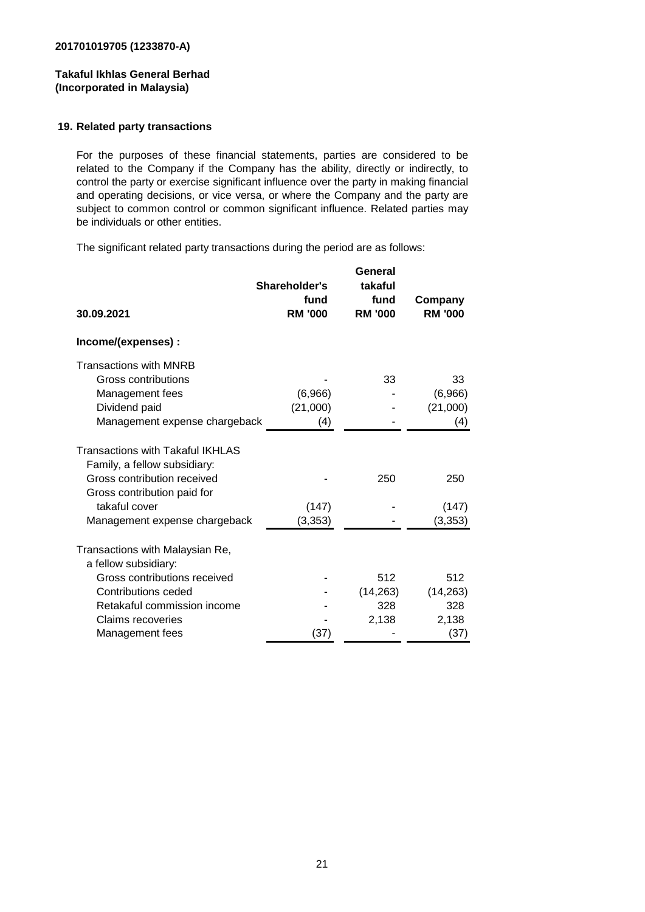#### **19. Related party transactions**

For the purposes of these financial statements, parties are considered to be related to the Company if the Company has the ability, directly or indirectly, to control the party or exercise significant influence over the party in making financial and operating decisions, or vice versa, or where the Company and the party are subject to common control or common significant influence. Related parties may be individuals or other entities.

The significant related party transactions during the period are as follows:

|                                         | Shareholder's<br>fund | General<br>takaful<br>fund | Company        |
|-----------------------------------------|-----------------------|----------------------------|----------------|
| 30.09.2021                              | <b>RM '000</b>        | <b>RM '000</b>             | <b>RM '000</b> |
| Income/(expenses) :                     |                       |                            |                |
| <b>Transactions with MNRB</b>           |                       |                            |                |
| <b>Gross contributions</b>              |                       | 33                         | 33             |
| Management fees                         | (6,966)               |                            | (6,966)        |
| Dividend paid                           | (21,000)              |                            | (21,000)       |
| Management expense chargeback           | (4)                   |                            | (4)            |
| <b>Transactions with Takaful IKHLAS</b> |                       |                            |                |
| Family, a fellow subsidiary:            |                       |                            |                |
| Gross contribution received             |                       | 250                        | 250            |
| Gross contribution paid for             |                       |                            |                |
| takaful cover                           | (147)                 |                            | (147)          |
| Management expense chargeback           | (3, 353)              |                            | (3, 353)       |
| Transactions with Malaysian Re,         |                       |                            |                |
| a fellow subsidiary:                    |                       |                            |                |
| Gross contributions received            |                       | 512                        | 512            |
| Contributions ceded                     |                       | (14, 263)                  | (14, 263)      |
| Retakaful commission income             |                       | 328                        | 328            |
| Claims recoveries                       |                       | 2,138                      | 2,138          |
| Management fees                         | (37)                  |                            | (37)           |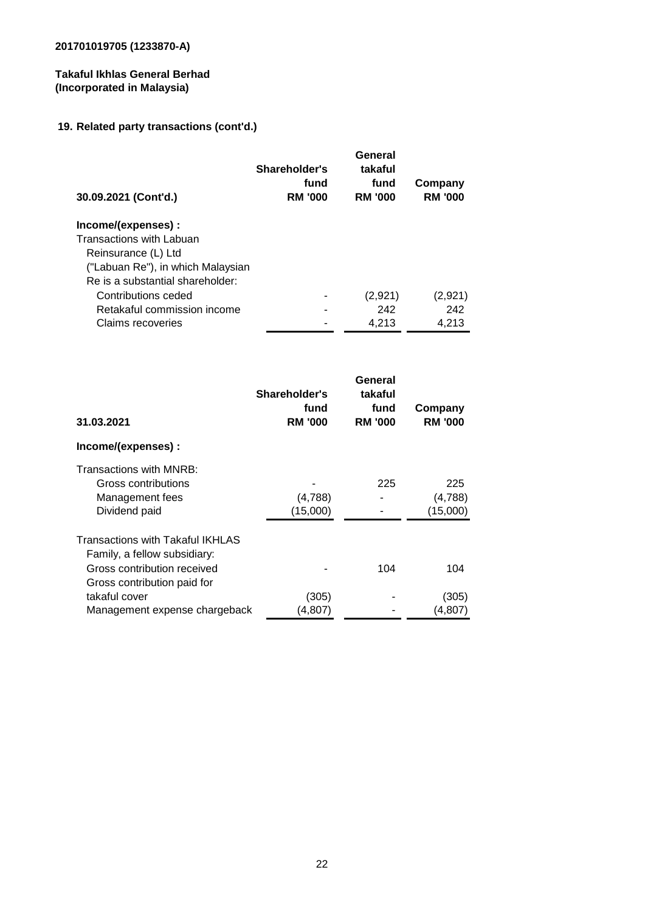# **Takaful Ikhlas General Berhad (Incorporated in Malaysia)**

# **19. Related party transactions (cont'd.)**

| 30.09.2021 (Cont'd.)              | Shareholder's<br>fund<br><b>RM '000</b> | General<br>takaful<br>fund<br><b>RM '000</b> | Company<br><b>RM '000</b> |
|-----------------------------------|-----------------------------------------|----------------------------------------------|---------------------------|
| Income/(expenses):                |                                         |                                              |                           |
| Transactions with Labuan          |                                         |                                              |                           |
| Reinsurance (L) Ltd               |                                         |                                              |                           |
| ("Labuan Re"), in which Malaysian |                                         |                                              |                           |
| Re is a substantial shareholder:  |                                         |                                              |                           |
| Contributions ceded               |                                         | (2,921)                                      | (2,921)                   |
| Retakaful commission income       |                                         | 242                                          | 242                       |
| Claims recoveries                 |                                         | 4,213                                        | 4,213                     |

| Shareholder's<br>fund<br><b>RM '000</b> | General<br>takaful<br>fund<br><b>RM '000</b> | Company<br><b>RM '000</b>  |
|-----------------------------------------|----------------------------------------------|----------------------------|
|                                         |                                              |                            |
| (4,788)<br>(15,000)                     | 225                                          | 225<br>(4,788)<br>(15,000) |
|                                         | 104                                          | 104                        |
| (305)                                   |                                              | (305)<br>(4, 807)          |
|                                         | (4,807)<br>Management expense chargeback     |                            |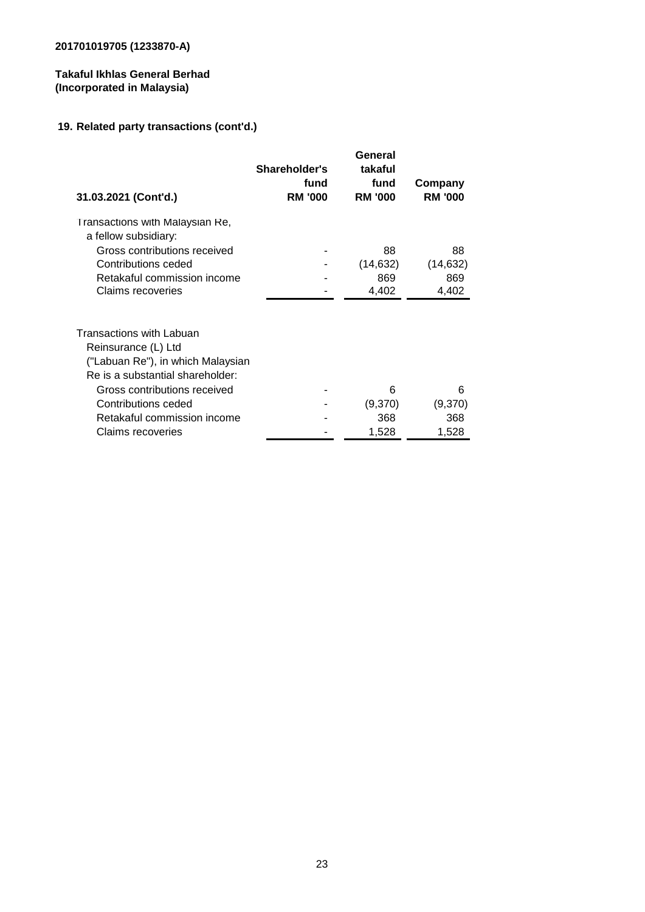# **Takaful Ikhlas General Berhad (Incorporated in Malaysia)**

# **19. Related party transactions (cont'd.)**

| 31.03.2021 (Cont'd.)                                                  | Shareholder's<br>fund<br><b>RM '000</b> | General<br>takaful<br>fund<br><b>RM '000</b> | Company<br><b>RM '000</b> |
|-----------------------------------------------------------------------|-----------------------------------------|----------------------------------------------|---------------------------|
| Transactions with Malaysian Re,<br>a fellow subsidiary:               |                                         |                                              |                           |
| Gross contributions received                                          |                                         | 88                                           | 88                        |
| Contributions ceded                                                   |                                         | (14, 632)                                    | (14, 632)                 |
| Retakaful commission income                                           |                                         | 869                                          | 869                       |
| Claims recoveries                                                     |                                         | 4,402                                        | 4,402                     |
| Transactions with Labuan<br>Reinsurance (L) Ltd                       |                                         |                                              |                           |
| ("Labuan Re"), in which Malaysian<br>Re is a substantial shareholder: |                                         |                                              |                           |
| Gross contributions received                                          |                                         | 6                                            | 6                         |
| Contributions ceded                                                   |                                         | (9,370)                                      | (9,370)                   |
| Retakaful commission income                                           |                                         | 368                                          | 368                       |
| Claims recoveries                                                     |                                         | 1,528                                        | 1,528                     |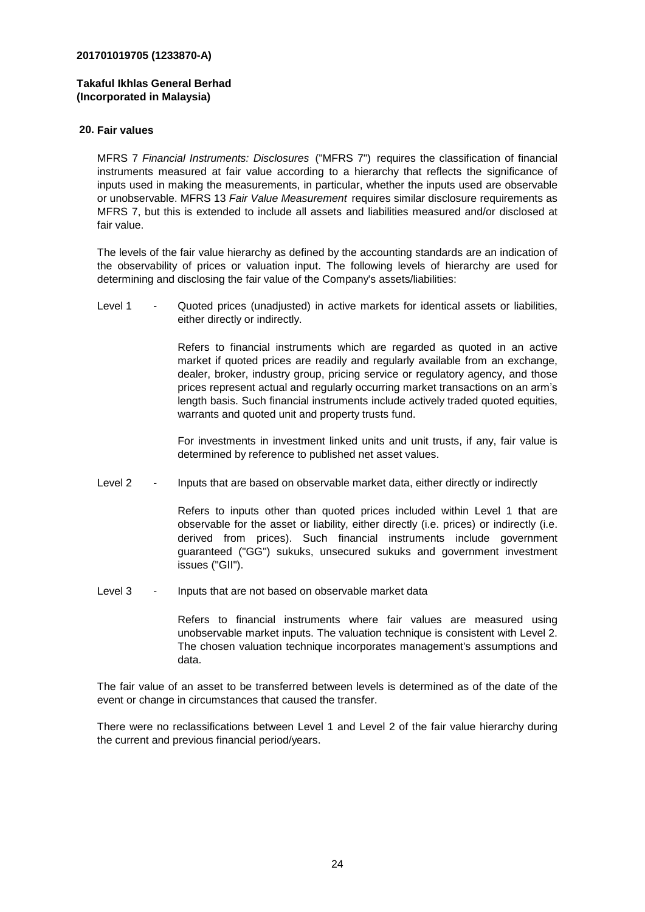#### **Takaful Ikhlas General Berhad (Incorporated in Malaysia)**

#### **20. Fair values**  $T$ uesand andtheirrelationshipwith relationship relationshipwith relationshipwith relationshipwith relationshipwith

MFRS 7 *Financial Instruments: Disclosures* ("MFRS 7") requires the classification of financial instruments measured at fair value according to a hierarchy that reflects the significance of inputs used in making the measurements, in particular, whether the inputs used are observable or unobservable. MFRS 13 *Fair Value Measurement* requires similar disclosure requirements as MFRS 7, but this is extended to include all assets and liabilities measured and/or disclosed at fair value.

The levels of the fair value hierarchy as defined by the accounting standards are an indication of the observability of prices or valuation input. The following levels of hierarchy are used for determining and disclosing the fair value of the Company's assets/liabilities:

 $L$ evel 1 Quoted prices (unadjusted) in active markets for identical assets or liabilities, either directly or indirectly.

> Refers to financial instruments which are regarded as quoted in an active market if quoted prices are readily and regularly available from an exchange, dealer, broker, industry group, pricing service or regulatory agency, and those prices represent actual and regularly occurring market transactions on an arm's length basis. Such financial instruments include actively traded quoted equities, warrants and quoted unit and property trusts fund.

> For investments in investment linked units and unit trusts, if any, fair value is determined by reference to published net asset values.

Level 2 Inputs that are based on observable market data, either directly or indirectly

> Refers to inputs other than quoted prices included within Level 1 that are observable for the asset or liability, either directly (i.e. prices) or indirectly (i.e. derived from prices). Such financial instruments include government guaranteed ("GG") sukuks, unsecured sukuks and government investment issues ("GII").

Level 3 - Inputs that are not based on observable market data

Refers to financial instruments where fair values are measured using unobservable market inputs. The valuation technique is consistent with Level 2. The chosen valuation technique incorporates management's assumptions and data.

The fair value of an asset to be transferred between levels is determined as of the date of the event or change in circumstances that caused the transfer.

There were no reclassifications between Level 1 and Level 2 of the fair value hierarchy during the current and previous financial period/years.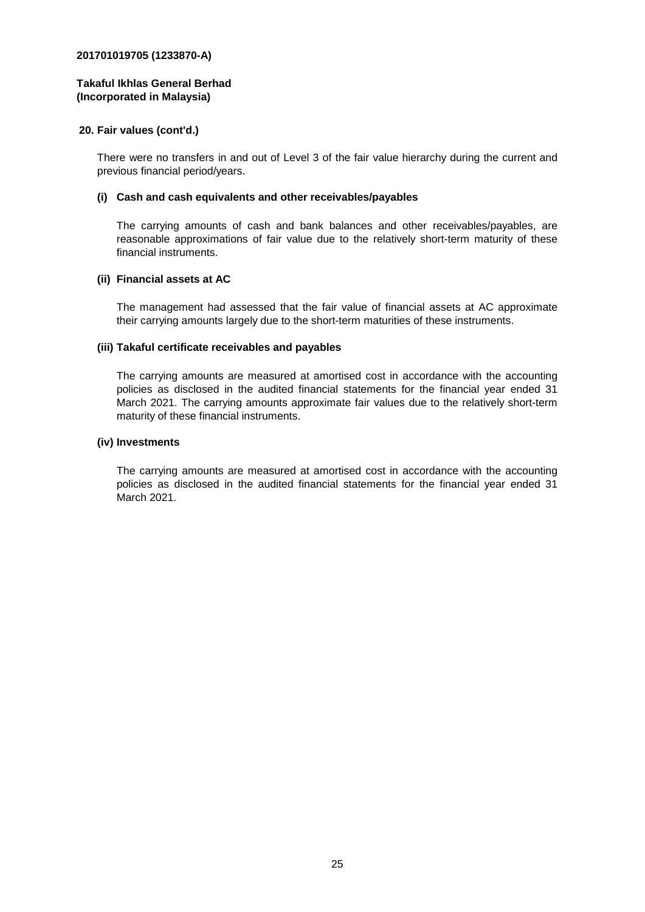#### **Takaful Ikhlas General Berhad (Incorporated in Malaysia)**

#### **20. Fair values (cont'd.)**

There were no transfers in and out of Level 3 of the fair value hierarchy during the current and previous financial period/years.

#### **(i) Cash and cash equivalents and other receivables/payables**

The carrying amounts of cash and bank balances and other receivables/payables, are reasonable approximations of fair value due to the relatively short-term maturity of these financial instruments.

#### **(ii) Financial assets at AC**

The management had assessed that the fair value of financial assets at AC approximate their carrying amounts largely due to the short-term maturities of these instruments.

#### **(iii) Takaful certificate receivables and payables**

The carrying amounts are measured at amortised cost in accordance with the accounting policies as disclosed in the audited financial statements for the financial year ended 31 March 2021. The carrying amounts approximate fair values due to the relatively short-term maturity of these financial instruments.

#### **(iv) Investments**

The carrying amounts are measured at amortised cost in accordance with the accounting policies as disclosed in the audited financial statements for the financial year ended 31 March 2021.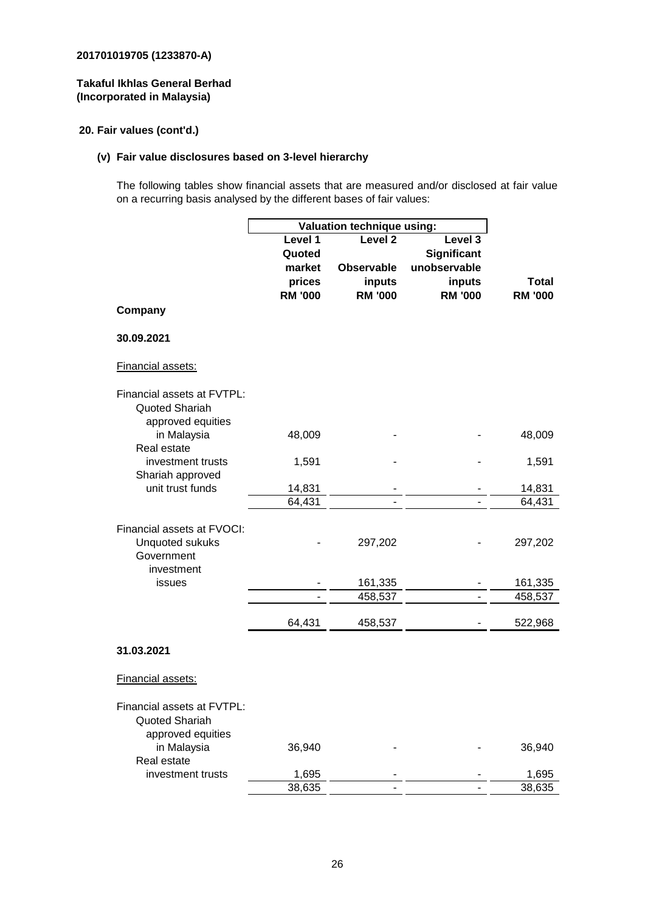#### **Takaful Ikhlas General Berhad (Incorporated in Malaysia)**

# **20. Fair values (cont'd.)**

# **(v) Fair value disclosures based on 3-level hierarchy**

The following tables show financial assets that are measured and/or disclosed at fair value on a recurring basis analysed by the different bases of fair values:

|                                                                   | Valuation technique using: |                    |                    |                |
|-------------------------------------------------------------------|----------------------------|--------------------|--------------------|----------------|
|                                                                   | Level 1                    | Level <sub>2</sub> | Level 3            |                |
|                                                                   | Quoted                     |                    | <b>Significant</b> |                |
|                                                                   | market                     | <b>Observable</b>  | unobservable       |                |
|                                                                   | prices                     | inputs             | inputs             | <b>Total</b>   |
|                                                                   | <b>RM '000</b>             | <b>RM '000</b>     | <b>RM '000</b>     | <b>RM '000</b> |
| Company                                                           |                            |                    |                    |                |
| 30.09.2021                                                        |                            |                    |                    |                |
| Financial assets:                                                 |                            |                    |                    |                |
| Financial assets at FVTPL:<br>Quoted Shariah<br>approved equities |                            |                    |                    |                |
| in Malaysia<br>Real estate                                        | 48,009                     |                    |                    | 48,009         |
| investment trusts<br>Shariah approved                             | 1,591                      |                    |                    | 1,591          |
| unit trust funds                                                  | 14,831                     |                    |                    | 14,831         |
|                                                                   | 64,431                     |                    |                    | 64,431         |
| Financial assets at FVOCI:<br>Unquoted sukuks<br>Government       |                            | 297,202            |                    | 297,202        |
| investment                                                        |                            |                    |                    |                |
| issues                                                            |                            | 161,335            | ÷,                 | 161,335        |
|                                                                   |                            | 458,537            |                    | 458,537        |
|                                                                   | 64,431                     | 458,537            |                    | 522,968        |
| 31.03.2021                                                        |                            |                    |                    |                |
| Financial assets:                                                 |                            |                    |                    |                |
| Financial assets at FVTPL:<br>Quoted Shariah<br>approved equities |                            |                    |                    |                |
| in Malaysia<br>Real estate                                        | 36,940                     |                    |                    | 36,940         |
| investment trusts                                                 | 1,695                      |                    |                    | 1,695          |
|                                                                   | 38,635                     |                    |                    | 38,635         |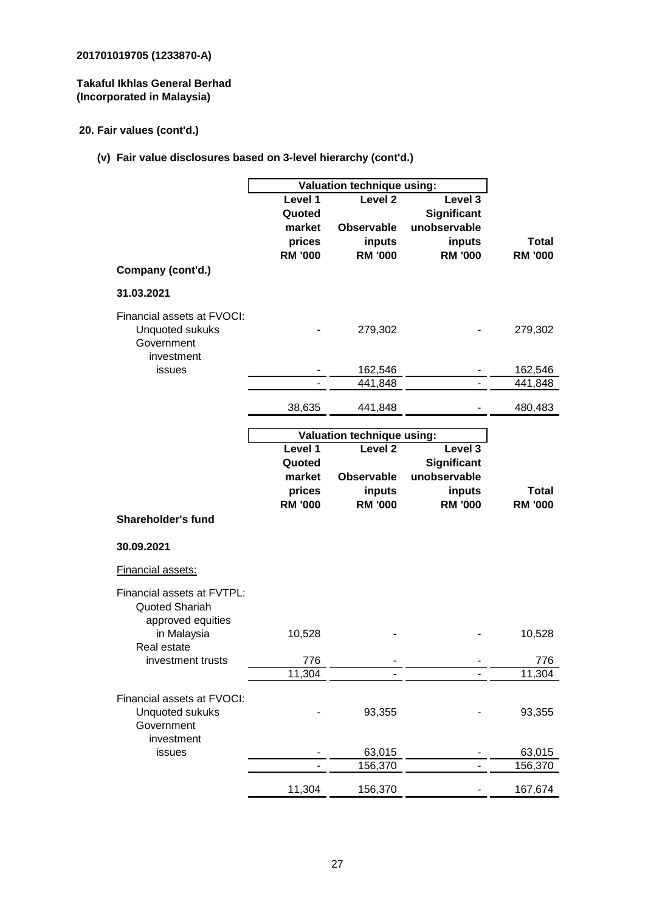# **Takaful Ikhlas General Berhad (Incorporated in Malaysia)**

# **20. Fair values (cont'd.)**

**(v) Fair value disclosures based on 3-level hierarchy (cont'd.)**

|                                                                                         | Valuation technique using:                              |                                                                     |                                                                    |                         |  |
|-----------------------------------------------------------------------------------------|---------------------------------------------------------|---------------------------------------------------------------------|--------------------------------------------------------------------|-------------------------|--|
|                                                                                         | Level 1<br>Quoted<br>market<br>prices<br><b>RM '000</b> | Level <sub>2</sub><br><b>Observable</b><br>inputs<br><b>RM '000</b> | Level 3<br>Significant<br>unobservable<br>inputs<br><b>RM '000</b> | Total<br><b>RM '000</b> |  |
| Company (cont'd.)                                                                       |                                                         |                                                                     |                                                                    |                         |  |
| 31.03.2021                                                                              |                                                         |                                                                     |                                                                    |                         |  |
| Financial assets at FVOCI:<br>Unquoted sukuks<br>Government<br>investment               |                                                         | 279,302                                                             |                                                                    | 279,302                 |  |
| issues                                                                                  |                                                         | 162,546                                                             |                                                                    | 162,546                 |  |
|                                                                                         |                                                         | 441,848                                                             |                                                                    | 441,848                 |  |
|                                                                                         | 38,635                                                  | 441,848                                                             |                                                                    | 480,483                 |  |
|                                                                                         |                                                         |                                                                     |                                                                    |                         |  |
|                                                                                         |                                                         | <b>Valuation technique using:</b>                                   |                                                                    |                         |  |
|                                                                                         | Level 1<br>Quoted<br>market<br>prices                   | Level <sub>2</sub><br><b>Observable</b><br>inputs                   | Level 3<br><b>Significant</b><br>unobservable<br>inputs            | <b>Total</b>            |  |
| <b>Shareholder's fund</b>                                                               | <b>RM '000</b>                                          | <b>RM '000</b>                                                      | <b>RM '000</b>                                                     | <b>RM '000</b>          |  |
|                                                                                         |                                                         |                                                                     |                                                                    |                         |  |
| 30.09.2021                                                                              |                                                         |                                                                     |                                                                    |                         |  |
| <b>Financial assets:</b>                                                                |                                                         |                                                                     |                                                                    |                         |  |
| Financial assets at FVTPL:<br><b>Quoted Shariah</b><br>approved equities<br>in Malaysia | 10,528                                                  |                                                                     |                                                                    | 10,528                  |  |
| Real estate                                                                             |                                                         |                                                                     |                                                                    |                         |  |
|                                                                                         |                                                         |                                                                     |                                                                    |                         |  |
| investment trusts                                                                       | 776                                                     |                                                                     |                                                                    | 776                     |  |
|                                                                                         | 11,304                                                  |                                                                     |                                                                    | 11,304                  |  |
| Financial assets at FVOCI:<br>Unquoted sukuks<br>Government<br>investment               |                                                         | 93,355                                                              |                                                                    | 93,355                  |  |
| issues                                                                                  |                                                         | 63,015                                                              |                                                                    | 63,015                  |  |
|                                                                                         |                                                         | 156,370                                                             |                                                                    | 156,370                 |  |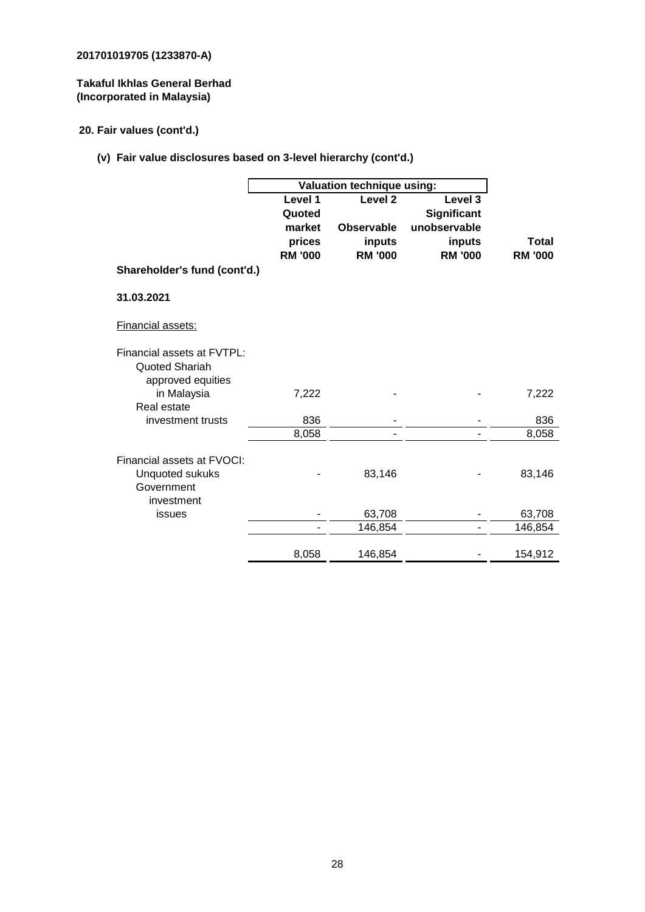# **Takaful Ikhlas General Berhad (Incorporated in Malaysia)**

# **20. Fair values (cont'd.)**

**(v) Fair value disclosures based on 3-level hierarchy (cont'd.)**

|                              | Valuation technique using: |                          |                          |                         |
|------------------------------|----------------------------|--------------------------|--------------------------|-------------------------|
|                              | Level 1                    | Level <sub>2</sub>       | Level 3                  |                         |
|                              | Quoted                     |                          | Significant              |                         |
|                              | market                     | <b>Observable</b>        | unobservable             |                         |
|                              | prices<br><b>RM '000</b>   | inputs<br><b>RM '000</b> | inputs<br><b>RM '000</b> | Total<br><b>RM '000</b> |
| Shareholder's fund (cont'd.) |                            |                          |                          |                         |
|                              |                            |                          |                          |                         |
| 31.03.2021                   |                            |                          |                          |                         |
| Financial assets:            |                            |                          |                          |                         |
| Financial assets at FVTPL:   |                            |                          |                          |                         |
| Quoted Shariah               |                            |                          |                          |                         |
| approved equities            |                            |                          |                          |                         |
| in Malaysia                  | 7,222                      |                          |                          | 7,222                   |
| Real estate                  |                            |                          |                          |                         |
| investment trusts            | 836                        |                          |                          | 836                     |
|                              | 8,058                      |                          |                          | 8,058                   |
| Financial assets at FVOCI:   |                            |                          |                          |                         |
| <b>Unquoted sukuks</b>       |                            | 83,146                   |                          | 83,146                  |
| Government                   |                            |                          |                          |                         |
| investment                   |                            |                          |                          |                         |
| issues                       |                            | 63,708                   |                          | 63,708                  |
|                              |                            | 146,854                  | ٠                        | 146,854                 |
|                              |                            |                          |                          |                         |
|                              | 8,058                      | 146,854                  |                          | 154,912                 |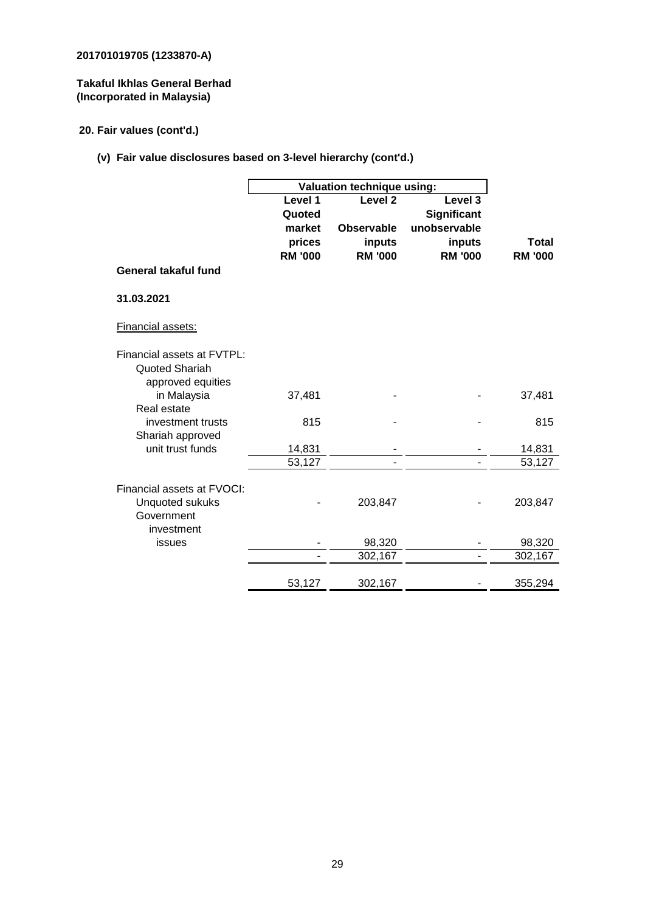# **Takaful Ikhlas General Berhad (Incorporated in Malaysia)**

# **20. Fair values (cont'd.)**

# **(v) Fair value disclosures based on 3-level hierarchy (cont'd.)**

|                                      | Valuation technique using: |                    |                |                  |
|--------------------------------------|----------------------------|--------------------|----------------|------------------|
|                                      | Level 1                    | Level <sub>2</sub> | Level 3        |                  |
|                                      | Quoted                     |                    | Significant    |                  |
|                                      | market                     | <b>Observable</b>  | unobservable   |                  |
|                                      | prices                     | inputs             | inputs         | <b>Total</b>     |
|                                      | <b>RM '000</b>             | <b>RM '000</b>     | <b>RM '000</b> | <b>RM '000</b>   |
| <b>General takaful fund</b>          |                            |                    |                |                  |
| 31.03.2021                           |                            |                    |                |                  |
| Financial assets:                    |                            |                    |                |                  |
| Financial assets at FVTPL:           |                            |                    |                |                  |
| Quoted Shariah                       |                            |                    |                |                  |
| approved equities                    |                            |                    |                |                  |
| in Malaysia                          | 37,481                     |                    |                | 37,481           |
| Real estate                          |                            |                    |                |                  |
| investment trusts                    | 815                        |                    |                | 815              |
| Shariah approved<br>unit trust funds |                            |                    |                |                  |
|                                      | 14,831<br>53,127           |                    |                | 14,831<br>53,127 |
|                                      |                            |                    |                |                  |
| Financial assets at FVOCI:           |                            |                    |                |                  |
| <b>Unquoted sukuks</b>               |                            | 203,847            |                | 203,847          |
| Government                           |                            |                    |                |                  |
| investment                           |                            |                    |                |                  |
| issues                               |                            | 98,320             |                | 98,320           |
|                                      |                            | 302,167            |                | 302,167          |
|                                      | 53,127                     | 302,167            |                | 355,294          |